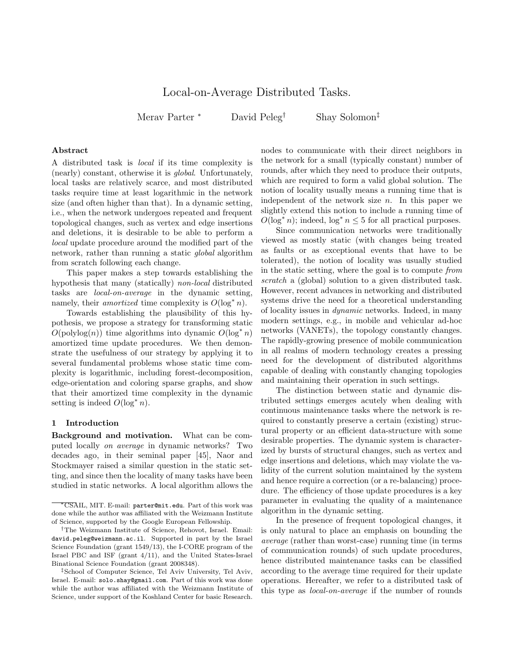# Local-on-Average Distributed Tasks.

Merav Parter <sup>∗</sup> David Peleg<sup>†</sup> Shay Solomon<sup>‡</sup>

# Abstract

A distributed task is local if its time complexity is (nearly) constant, otherwise it is global. Unfortunately, local tasks are relatively scarce, and most distributed tasks require time at least logarithmic in the network size (and often higher than that). In a dynamic setting, i.e., when the network undergoes repeated and frequent topological changes, such as vertex and edge insertions and deletions, it is desirable to be able to perform a local update procedure around the modified part of the network, rather than running a static global algorithm from scratch following each change.

This paper makes a step towards establishing the hypothesis that many (statically) non-local distributed tasks are local-on-average in the dynamic setting, namely, their *amortized* time complexity is  $O(\log^* n)$ .

Towards establishing the plausibility of this hypothesis, we propose a strategy for transforming static  $O(\text{polylog}(n))$  time algorithms into dynamic  $O(\log^* n)$ amortized time update procedures. We then demonstrate the usefulness of our strategy by applying it to several fundamental problems whose static time complexity is logarithmic, including forest-decomposition, edge-orientation and coloring sparse graphs, and show that their amortized time complexity in the dynamic setting is indeed  $O(\log^* n)$ .

## 1 Introduction

Background and motivation. What can be computed locally on average in dynamic networks? Two decades ago, in their seminal paper [45], Naor and Stockmayer raised a similar question in the static setting, and since then the locality of many tasks have been studied in static networks. A local algorithm allows the

nodes to communicate with their direct neighbors in the network for a small (typically constant) number of rounds, after which they need to produce their outputs, which are required to form a valid global solution. The notion of locality usually means a running time that is independent of the network size  $n$ . In this paper we slightly extend this notion to include a running time of  $O(\log^* n)$ ; indeed,  $\log^* n \leq 5$  for all practical purposes.

Since communication networks were traditionally viewed as mostly static (with changes being treated as faults or as exceptional events that have to be tolerated), the notion of locality was usually studied in the static setting, where the goal is to compute from scratch a (global) solution to a given distributed task. However, recent advances in networking and distributed systems drive the need for a theoretical understanding of locality issues in dynamic networks. Indeed, in many modern settings, e.g., in mobile and vehicular ad-hoc networks (VANETs), the topology constantly changes. The rapidly-growing presence of mobile communication in all realms of modern technology creates a pressing need for the development of distributed algorithms capable of dealing with constantly changing topologies and maintaining their operation in such settings.

The distinction between static and dynamic distributed settings emerges acutely when dealing with continuous maintenance tasks where the network is required to constantly preserve a certain (existing) structural property or an efficient data-structure with some desirable properties. The dynamic system is characterized by bursts of structural changes, such as vertex and edge insertions and deletions, which may violate the validity of the current solution maintained by the system and hence require a correction (or a re-balancing) procedure. The efficiency of those update procedures is a key parameter in evaluating the quality of a maintenance algorithm in the dynamic setting.

In the presence of frequent topological changes, it is only natural to place an emphasis on bounding the average (rather than worst-case) running time (in terms of communication rounds) of such update procedures, hence distributed maintenance tasks can be classified according to the average time required for their update operations. Hereafter, we refer to a distributed task of this type as local-on-average if the number of rounds

<sup>∗</sup>CSAIL, MIT. E-mail: parter@mit.edu. Part of this work was done while the author was affiliated with the Weizmann Institute of Science, supported by the Google European Fellowship.

<sup>†</sup>The Weizmann Institute of Science, Rehovot, Israel. Email: david.peleg@weizmann.ac.il. Supported in part by the Israel Science Foundation (grant 1549/13), the I-CORE program of the Israel PBC and ISF (grant 4/11), and the United States-Israel Binational Science Foundation (grant 2008348).

<sup>‡</sup>School of Computer Science, Tel Aviv University, Tel Aviv, Israel. E-mail: solo.shay@gmail.com. Part of this work was done while the author was affiliated with the Weizmann Institute of Science, under support of the Koshland Center for basic Research.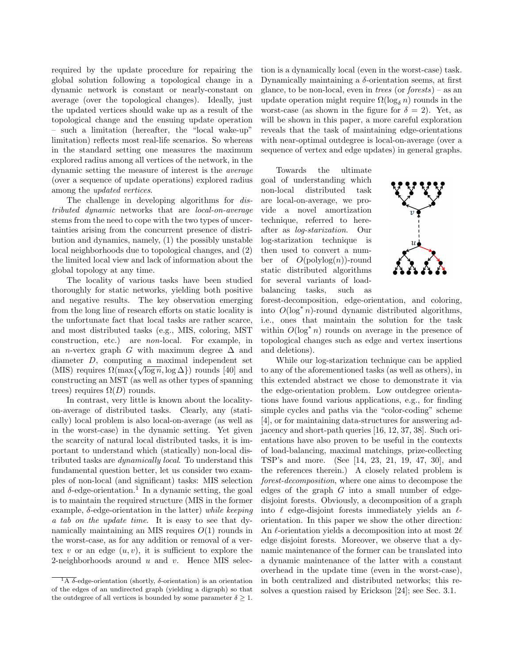required by the update procedure for repairing the global solution following a topological change in a dynamic network is constant or nearly-constant on average (over the topological changes). Ideally, just the updated vertices should wake up as a result of the topological change and the ensuing update operation – such a limitation (hereafter, the "local wake-up" limitation) reflects most real-life scenarios. So whereas in the standard setting one measures the maximum explored radius among all vertices of the network, in the dynamic setting the measure of interest is the average (over a sequence of update operations) explored radius among the updated vertices.

The challenge in developing algorithms for *dis*tributed dynamic networks that are local-on-average stems from the need to cope with the two types of uncertainties arising from the concurrent presence of distribution and dynamics, namely, (1) the possibly unstable local neighborhoods due to topological changes, and (2) the limited local view and lack of information about the global topology at any time.

The locality of various tasks have been studied thoroughly for static networks, yielding both positive and negative results. The key observation emerging from the long line of research efforts on static locality is the unfortunate fact that local tasks are rather scarce, and most distributed tasks (e.g., MIS, coloring, MST construction, etc.) are non-local. For example, in an *n*-vertex graph G with maximum degree  $\Delta$  and diameter  $D$ , computing a maximal independent set (MIS) requires  $\Omega(\max\{\sqrt{\log n}, \log \Delta\})$  rounds [40] and constructing an MST (as well as other types of spanning trees) requires  $\Omega(D)$  rounds.

In contrast, very little is known about the localityon-average of distributed tasks. Clearly, any (statically) local problem is also local-on-average (as well as in the worst-case) in the dynamic setting. Yet given the scarcity of natural local distributed tasks, it is important to understand which (statically) non-local distributed tasks are dynamically local. To understand this fundamental question better, let us consider two examples of non-local (and significant) tasks: MIS selection and  $\delta$ -edge-orientation.<sup>1</sup> In a dynamic setting, the goal is to maintain the required structure (MIS in the former example,  $\delta$ -edge-orientation in the latter) while keeping a tab on the update time. It is easy to see that dynamically maintaining an MIS requires  $O(1)$  rounds in the worst-case, as for any addition or removal of a vertex v or an edge  $(u, v)$ , it is sufficient to explore the 2-neighborhoods around  $u$  and  $v$ . Hence MIS selection is a dynamically local (even in the worst-case) task. Dynamically maintaining a  $δ$ -orientation seems, at first glance, to be non-local, even in trees (or forests) – as an update operation might require  $\Omega(\log_{\delta} n)$  rounds in the worst-case (as shown in the figure for  $\delta = 2$ ). Yet, as will be shown in this paper, a more careful exploration reveals that the task of maintaining edge-orientations with near-optimal outdegree is local-on-average (over a sequence of vertex and edge updates) in general graphs.

Towards the ultimate goal of understanding which non-local distributed task are local-on-average, we provide a novel amortization technique, referred to hereafter as log-starization. Our log-starization technique is then used to convert a number of  $O(\text{polylog}(n))$ -round static distributed algorithms for several variants of loadbalancing tasks, such as



forest-decomposition, edge-orientation, and coloring, into  $O(\log^* n)$ -round dynamic distributed algorithms, i.e., ones that maintain the solution for the task within  $O(\log^* n)$  rounds on average in the presence of topological changes such as edge and vertex insertions and deletions).

While our log-starization technique can be applied to any of the aforementioned tasks (as well as others), in this extended abstract we chose to demonstrate it via the edge-orientation problem. Low outdegree orientations have found various applications, e.g., for finding simple cycles and paths via the "color-coding" scheme [4], or for maintaining data-structures for answering adjacency and short-path queries [16, 12, 37, 38]. Such orientations have also proven to be useful in the contexts of load-balancing, maximal matchings, prize-collecting TSP's and more. (See [14, 23, 21, 19, 47, 30], and the references therein.) A closely related problem is forest-decomposition, where one aims to decompose the edges of the graph  $G$  into a small number of edgedisjoint forests. Obviously, a decomposition of a graph into  $\ell$  edge-disjoint forests immediately yields an  $\ell$ orientation. In this paper we show the other direction: An  $\ell$ -orientation yields a decomposition into at most  $2\ell$ edge disjoint forests. Moreover, we observe that a dynamic maintenance of the former can be translated into a dynamic maintenance of the latter with a constant overhead in the update time (even in the worst-case), in both centralized and distributed networks; this resolves a question raised by Erickson [24]; see Sec. 3.1.

 $\overline{A}$   $\overline{\delta}$ -edge-orientation (shortly,  $\delta$ -orientation) is an orientation of the edges of an undirected graph (yielding a digraph) so that the outdegree of all vertices is bounded by some parameter  $\delta \geq 1$ .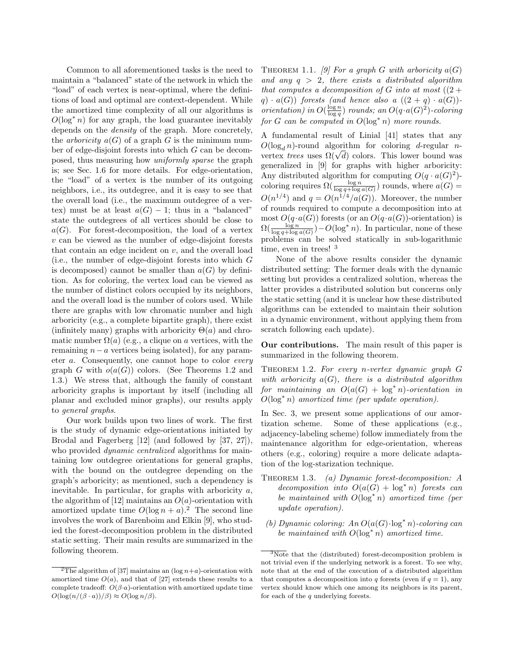Common to all aforementioned tasks is the need to maintain a "balanced" state of the network in which the "load" of each vertex is near-optimal, where the definitions of load and optimal are context-dependent. While the amortized time complexity of all our algorithms is  $O(\log^* n)$  for any graph, the load guarantee inevitably depends on the density of the graph. More concretely, the *arboricity*  $a(G)$  of a graph G is the minimum number of edge-disjoint forests into which G can be decomposed, thus measuring how uniformly sparse the graph is; see Sec. 1.6 for more details. For edge-orientation, the "load" of a vertex is the number of its outgoing neighbors, i.e., its outdegree, and it is easy to see that the overall load (i.e., the maximum outdegree of a vertex) must be at least  $a(G) - 1$ ; thus in a "balanced" state the outdegrees of all vertices should be close to  $a(G)$ . For forest-decomposition, the load of a vertex v can be viewed as the number of edge-disjoint forests that contain an edge incident on  $v$ , and the overall load (i.e., the number of edge-disjoint forests into which G is decomposed) cannot be smaller than  $a(G)$  by definition. As for coloring, the vertex load can be viewed as the number of distinct colors occupied by its neighbors, and the overall load is the number of colors used. While there are graphs with low chromatic number and high arboricity (e.g., a complete bipartite graph), there exist (infinitely many) graphs with arboricity  $\Theta(a)$  and chromatic number  $\Omega(a)$  (e.g., a clique on a vertices, with the remaining  $n-a$  vertices being isolated), for any parameter a. Consequently, one cannot hope to color every graph G with  $o(a(G))$  colors. (See Theorems 1.2 and 1.3.) We stress that, although the family of constant arboricity graphs is important by itself (including all planar and excluded minor graphs), our results apply to general graphs.

Our work builds upon two lines of work. The first is the study of dynamic edge-orientations initiated by Brodal and Fagerberg [12] (and followed by [37, 27]), who provided *dynamic centralized* algorithms for maintaining low outdegree orientations for general graphs, with the bound on the outdegree depending on the graph's arboricity; as mentioned, such a dependency is inevitable. In particular, for graphs with arboricity  $a$ , the algorithm of [12] maintains an  $O(a)$ -orientation with amortized update time  $O(\log n + a)^2$  The second line involves the work of Barenboim and Elkin [9], who studied the forest-decomposition problem in the distributed static setting. Their main results are summarized in the following theorem.

THEOREM 1.1. [9] For a graph G with arboricity  $a(G)$ and any  $q > 2$ , there exists a distributed algorithm that computes a decomposition of G into at most  $((2 +$  $q) \cdot a(G)$  forests (and hence also a  $((2 + q) \cdot a(G))$ orientation) in  $O(\frac{\log n}{\log q})$  rounds; an  $O(q \cdot a(G)^2)$ -coloring for G can be computed in  $O(\log^* n)$  more rounds.

A fundamental result of Linial [41] states that any  $O(\log_a n)$ -round algorithm for coloring *d*-regular *n*- $U(\log_d n)$ -round algorithm for coloring *d*-regular *n*-<br>vertex *trees* uses  $\Omega(\sqrt{d})$  colors. This lower bound was generalized in [9] for graphs with higher arboricity: Any distributed algorithm for computing  $O(q \cdot a(G)^2)$ coloring requires  $\Omega(\frac{\log n}{\log q + \log a(G)})$  rounds, where  $a(G)$  =  $O(n^{1/4})$  and  $q = O(n^{1/4}/a(G))$ . Moreover, the number of rounds required to compute a decomposition into at most  $O(q \cdot a(G))$  forests (or an  $O(q \cdot a(G))$ -orientation) is  $\Omega(\frac{\log n}{\log q + \log a(G)}) - O(\log^* n)$ . In particular, none of these problems can be solved statically in sub-logarithmic time, even in trees! <sup>3</sup>

None of the above results consider the dynamic distributed setting: The former deals with the dynamic setting but provides a centralized solution, whereas the latter provides a distributed solution but concerns only the static setting (and it is unclear how these distributed algorithms can be extended to maintain their solution in a dynamic environment, without applying them from scratch following each update).

Our contributions. The main result of this paper is summarized in the following theorem.

THEOREM 1.2. For every n-vertex dynamic graph  $G$ with arboricity  $a(G)$ , there is a distributed algorithm for maintaining an  $O(a(G) + \log^* n)$ -orientation in  $O(\log^* n)$  amortized time (per update operation).

In Sec. 3, we present some applications of our amortization scheme. Some of these applications (e.g., adjacency-labeling scheme) follow immediately from the maintenance algorithm for edge-orientation, whereas others (e.g., coloring) require a more delicate adaptation of the log-starization technique.

- THEOREM 1.3. (a) Dynamic forest-decomposition: A decomposition into  $O(a(G) + \log^* n)$  forests can be maintained with  $O(\log^* n)$  amortized time (per update operation).
- (b) Dynamic coloring: An  $O(a(G) \cdot \log^* n)$ -coloring can be maintained with  $O(\log^* n)$  amortized time.

 $2^2$ The algorithm of [37] maintains an (log  $n+a$ )-orientation with amortized time  $O(a)$ , and that of [27] extends these results to a complete tradeoff:  $O(\beta \cdot a)$ -orientation with amortized update time  $O(\log(n/(\beta \cdot a))/\beta) \approx O(\log n/\beta).$ 

 $\sqrt[3]{3}$ Note that the (distributed) forest-decomposition problem is not trivial even if the underlying network is a forest. To see why, note that at the end of the execution of a distributed algorithm that computes a decomposition into q forests (even if  $q = 1$ ), any vertex should know which one among its neighbors is its parent, for each of the  $q$  underlying forests.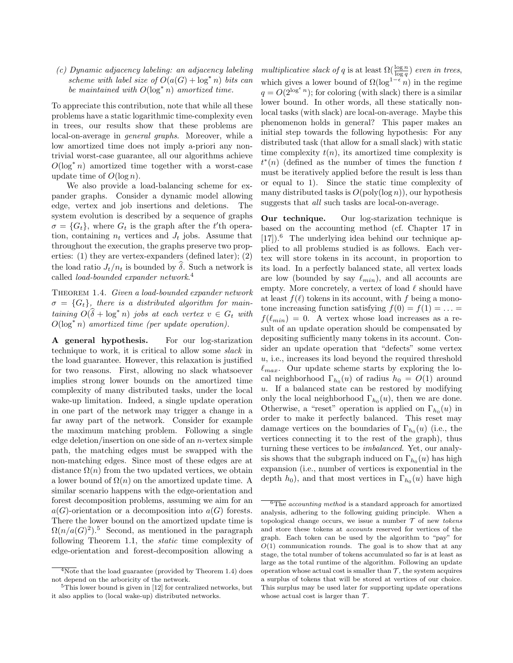(c) Dynamic adjacency labeling: an adjacency labeling scheme with label size of  $O(a(G) + \log^* n)$  bits can be maintained with  $O(\log^* n)$  amortized time.

To appreciate this contribution, note that while all these problems have a static logarithmic time-complexity even in trees, our results show that these problems are local-on-average in general graphs. Moreover, while a low amortized time does not imply a-priori any nontrivial worst-case guarantee, all our algorithms achieve  $O(\log^* n)$  amortized time together with a worst-case update time of  $O(\log n)$ .

We also provide a load-balancing scheme for expander graphs. Consider a dynamic model allowing edge, vertex and job insertions and deletions. The system evolution is described by a sequence of graphs  $\sigma = \{G_t\}$ , where  $G_t$  is the graph after the t'th operation, containing  $n_t$  vertices and  $J_t$  jobs. Assume that throughout the execution, the graphs preserve two properties: (1) they are vertex-expanders (defined later); (2) the load ratio  $J_t/n_t$  is bounded by  $\delta$ . Such a network is called *load-bounded expander network*.<sup>4</sup>

THEOREM 1.4. Given a load-bounded expander network  $\sigma = \{G_t\}$ , there is a distributed algorithm for maintaining  $O(\hat{\delta} + \log^* n)$  jobs at each vertex  $v \in G_t$  with  $O(\log^* n)$  amortized time (per update operation).

A general hypothesis. For our log-starization technique to work, it is critical to allow some slack in the load guarantee. However, this relaxation is justified for two reasons. First, allowing no slack whatsoever implies strong lower bounds on the amortized time complexity of many distributed tasks, under the local wake-up limitation. Indeed, a single update operation in one part of the network may trigger a change in a far away part of the network. Consider for example the maximum matching problem. Following a single edge deletion/insertion on one side of an  $n$ -vertex simple path, the matching edges must be swapped with the non-matching edges. Since most of these edges are at distance  $\Omega(n)$  from the two updated vertices, we obtain a lower bound of  $\Omega(n)$  on the amortized update time. A similar scenario happens with the edge-orientation and forest decomposition problems, assuming we aim for an  $a(G)$ -orientation or a decomposition into  $a(G)$  forests. There the lower bound on the amortized update time is  $\Omega(n/a(G)^2)$ <sup>5</sup> Second, as mentioned in the paragraph following Theorem 1.1, the static time complexity of edge-orientation and forest-decomposition allowing a

multiplicative slack of q is at least  $\Omega(\frac{\log n}{\log q})$  even in trees, which gives a lower bound of  $\Omega(\log^{1-\epsilon} n)$  in the regime  $q = O(2^{\log^{\epsilon} n})$ ; for coloring (with slack) there is a similar lower bound. In other words, all these statically nonlocal tasks (with slack) are local-on-average. Maybe this phenomenon holds in general? This paper makes an initial step towards the following hypothesis: For any distributed task (that allow for a small slack) with static time complexity  $t(n)$ , its amortized time complexity is  $t^{*}(n)$  (defined as the number of times the function t must be iteratively applied before the result is less than or equal to 1). Since the static time complexity of many distributed tasks is  $O(\text{poly}(\log n))$ , our hypothesis suggests that all such tasks are local-on-average.

Our technique. Our log-starization technique is based on the accounting method (cf. Chapter 17 in [17]).<sup>6</sup> The underlying idea behind our technique applied to all problems studied is as follows. Each vertex will store tokens in its account, in proportion to its load. In a perfectly balanced state, all vertex loads are low (bounded by say  $\ell_{min}$ ), and all accounts are empty. More concretely, a vertex of load  $\ell$  should have at least  $f(\ell)$  tokens in its account, with f being a monotone increasing function satisfying  $f(0) = f(1) = \ldots =$  $f(\ell_{min}) = 0$ . A vertex whose load increases as a result of an update operation should be compensated by depositing sufficiently many tokens in its account. Consider an update operation that "defects" some vertex u, i.e., increases its load beyond the required threshold  $\ell_{max}$ . Our update scheme starts by exploring the local neighborhood  $\Gamma_{h_0}(u)$  of radius  $h_0 = O(1)$  around u. If a balanced state can be restored by modifying only the local neighborhood  $\Gamma_{h_0}(u)$ , then we are done. Otherwise, a "reset" operation is applied on  $\Gamma_{h_0}(u)$  in order to make it perfectly balanced. This reset may damage vertices on the boundaries of  $\Gamma_{h_0}(u)$  (i.e., the vertices connecting it to the rest of the graph), thus turning these vertices to be imbalanced. Yet, our analysis shows that the subgraph induced on  $\Gamma_{h_0}(u)$  has high expansion (i.e., number of vertices is exponential in the depth  $h_0$ ), and that most vertices in  $\Gamma_{h_0}(u)$  have high

 $\sqrt[4]{\text{Note that the load guarantee (provided by Theorem 1.4) does}}$ not depend on the arboricity of the network.

<sup>5</sup>This lower bound is given in [12] for centralized networks, but it also applies to (local wake-up) distributed networks.

 $\overline{6}$ The *accounting method* is a standard approach for amortized analysis, adhering to the following guiding principle. When a topological change occurs, we issue a number  $T$  of new tokens and store these tokens at accounts reserved for vertices of the graph. Each token can be used by the algorithm to "pay" for  $O(1)$  communication rounds. The goal is to show that at any stage, the total number of tokens accumulated so far is at least as large as the total runtime of the algorithm. Following an update operation whose actual cost is smaller than  $\mathcal T$ , the system acquires a surplus of tokens that will be stored at vertices of our choice. This surplus may be used later for supporting update operations whose actual cost is larger than  $\mathcal{T}$ .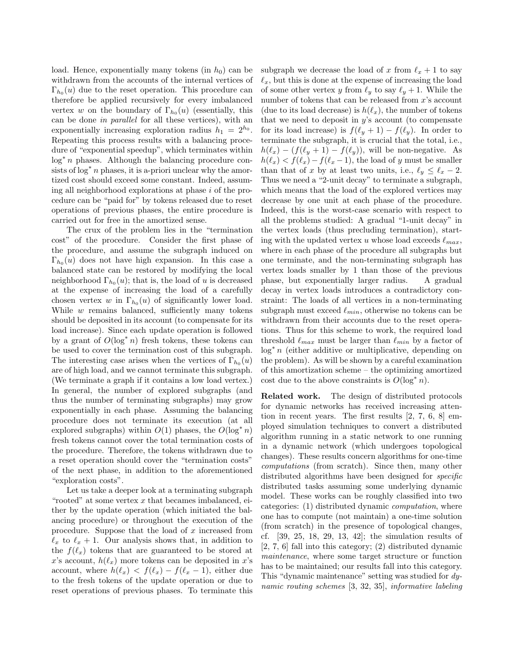load. Hence, exponentially many tokens (in  $h_0$ ) can be withdrawn from the accounts of the internal vertices of  $\Gamma_{h_0}(u)$  due to the reset operation. This procedure can therefore be applied recursively for every imbalanced vertex w on the boundary of  $\Gamma_{h_0}(u)$  (essentially, this can be done in parallel for all these vertices), with an exponentially increasing exploration radius  $h_1 = 2^{h_0}$ . Repeating this process results with a balancing procedure of "exponential speedup", which terminates within log<sup>∗</sup> n phases. Although the balancing procedure consists of  $\log^* n$  phases, it is a-priori unclear why the amortized cost should exceed some constant. Indeed, assuming all neighborhood explorations at phase  $i$  of the procedure can be "paid for" by tokens released due to reset operations of previous phases, the entire procedure is carried out for free in the amortized sense.

The crux of the problem lies in the "termination cost" of the procedure. Consider the first phase of the procedure, and assume the subgraph induced on  $\Gamma_{h_0}(u)$  does not have high expansion. In this case a balanced state can be restored by modifying the local neighborhood  $\Gamma_{h_0}(u)$ ; that is, the load of u is decreased at the expense of increasing the load of a carefully chosen vertex w in  $\Gamma_{h_0}(u)$  of significantly lower load. While  $w$  remains balanced, sufficiently many tokens should be deposited in its account (to compensate for its load increase). Since each update operation is followed by a grant of  $O(\log^* n)$  fresh tokens, these tokens can be used to cover the termination cost of this subgraph. The interesting case arises when the vertices of  $\Gamma_{h_0}(u)$ are of high load, and we cannot terminate this subgraph. (We terminate a graph if it contains a low load vertex.) In general, the number of explored subgraphs (and thus the number of terminating subgraphs) may grow exponentially in each phase. Assuming the balancing procedure does not terminate its execution (at all explored subgraphs) within  $O(1)$  phases, the  $O(\log^* n)$ fresh tokens cannot cover the total termination costs of the procedure. Therefore, the tokens withdrawn due to a reset operation should cover the "termination costs" of the next phase, in addition to the aforementioned "exploration costs".

Let us take a deeper look at a terminating subgraph "rooted" at some vertex  $x$  that becames imbalanced, either by the update operation (which initiated the balancing procedure) or throughout the execution of the procedure. Suppose that the load of  $x$  increased from  $\ell_x$  to  $\ell_x + 1$ . Our analysis shows that, in addition to the  $f(\ell_x)$  tokens that are guaranteed to be stored at x's account,  $h(\ell_x)$  more tokens can be deposited in x's account, where  $h(\ell_x) < f(\ell_x) - f(\ell_x - 1)$ , either due to the fresh tokens of the update operation or due to reset operations of previous phases. To terminate this

subgraph we decrease the load of x from  $\ell_x + 1$  to say  $\ell_x$ , but this is done at the expense of increasing the load of some other vertex y from  $\ell_y$  to say  $\ell_y + 1$ . While the number of tokens that can be released from  $x$ 's account (due to its load decrease) is  $h(\ell_x)$ , the number of tokens that we need to deposit in  $y$ 's account (to compensate for its load increase) is  $f(\ell_y + 1) - f(\ell_y)$ . In order to terminate the subgraph, it is crucial that the total, i.e.,  $h(\ell_x) - (f(\ell_y + 1) - f(\ell_y))$ , will be non-negative. As  $h(\ell_x) < f(\ell_x) - f(\ell_x - 1)$ , the load of y must be smaller than that of x by at least two units, i.e.,  $\ell_y \leq \ell_x - 2$ . Thus we need a "2-unit decay" to terminate a subgraph, which means that the load of the explored vertices may decrease by one unit at each phase of the procedure. Indeed, this is the worst-case scenario with respect to all the problems studied: A gradual "1-unit decay" in the vertex loads (thus precluding termination), starting with the updated vertex u whose load exceeds  $\ell_{max}$ , where in each phase of the procedure all subgraphs but one terminate, and the non-terminating subgraph has vertex loads smaller by 1 than those of the previous phase, but exponentially larger radius. A gradual decay in vertex loads introduces a contradictory constraint: The loads of all vertices in a non-terminating subgraph must exceed  $\ell_{min}$ , otherwise no tokens can be withdrawn from their accounts due to the reset operations. Thus for this scheme to work, the required load threshold  $\ell_{max}$  must be larger than  $\ell_{min}$  by a factor of log<sup>∗</sup> n (either additive or multiplicative, depending on the problem). As will be shown by a careful examination of this amortization scheme – the optimizing amortized cost due to the above constraints is  $O(\log^* n)$ .

Related work. The design of distributed protocols for dynamic networks has received increasing attention in recent years. The first results [2, 7, 6, 8] employed simulation techniques to convert a distributed algorithm running in a static network to one running in a dynamic network (which undergoes topological changes). These results concern algorithms for one-time computations (from scratch). Since then, many other distributed algorithms have been designed for *specific* distributed tasks assuming some underlying dynamic model. These works can be roughly classified into two categories: (1) distributed dynamic computation, where one has to compute (not maintain) a one-time solution (from scratch) in the presence of topological changes, cf. [39, 25, 18, 29, 13, 42]; the simulation results of [2, 7, 6] fall into this category; (2) distributed dynamic maintenance, where some target structure or function has to be maintained; our results fall into this category. This "dynamic maintenance" setting was studied for dynamic routing schemes [3, 32, 35], informative labeling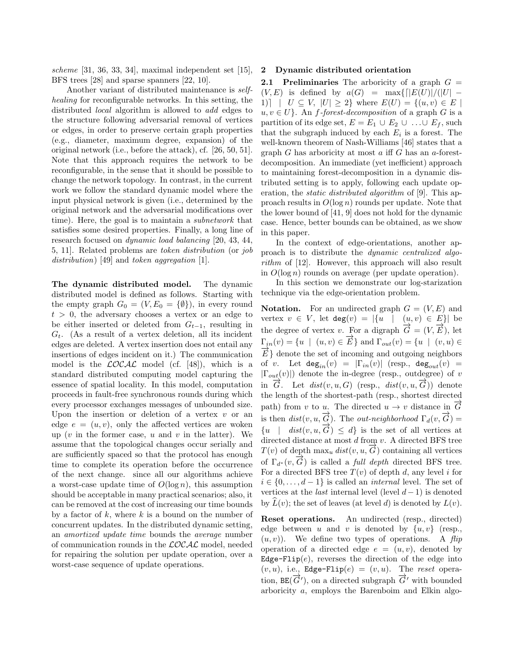scheme  $[31, 36, 33, 34]$ , maximal independent set  $[15]$ , BFS trees [28] and sparse spanners [22, 10].

Another variant of distributed maintenance is selfhealing for reconfigurable networks. In this setting, the distributed *local* algorithm is allowed to *add* edges to the structure following adversarial removal of vertices or edges, in order to preserve certain graph properties (e.g., diameter, maximum degree, expansion) of the original network (i.e., before the attack), cf. [26, 50, 51]. Note that this approach requires the network to be reconfigurable, in the sense that it should be possible to change the network topology. In contrast, in the current work we follow the standard dynamic model where the input physical network is given (i.e., determined by the original network and the adversarial modifications over time). Here, the goal is to maintain a subnetwork that satisfies some desired properties. Finally, a long line of research focused on dynamic load balancing [20, 43, 44, 5, 11]. Related problems are token distribution (or job distribution) [49] and token aggregation [1].

The dynamic distributed model. The dynamic distributed model is defined as follows. Starting with the empty graph  $G_0 = (V, E_0 = \{\emptyset\})$ , in every round  $t > 0$ , the adversary chooses a vertex or an edge to be either inserted or deleted from  $G_{t-1}$ , resulting in  $G_t$ . (As a result of a vertex deletion, all its incident edges are deleted. A vertex insertion does not entail any insertions of edges incident on it.) The communication model is the  $\mathcal{LOCAL}$  model (cf. [48]), which is a standard distributed computing model capturing the essence of spatial locality. In this model, computation proceeds in fault-free synchronous rounds during which every processor exchanges messages of unbounded size. Upon the insertion or deletion of a vertex  $v$  or an edge  $e = (u, v)$ , only the affected vertices are woken up (v in the former case, u and v in the latter). We assume that the topological changes occur serially and are sufficiently spaced so that the protocol has enough time to complete its operation before the occurrence of the next change. since all our algorithms achieve a worst-case update time of  $O(\log n)$ , this assumption should be acceptable in many practical scenarios; also, it can be removed at the cost of increasing our time bounds by a factor of  $k$ , where  $k$  is a bound on the number of concurrent updates. In the distributed dynamic setting, an amortized update time bounds the average number of communication rounds in the  $\mathcal{L}OCA\mathcal{L}$  model, needed for repairing the solution per update operation, over a worst-case sequence of update operations.

### 2 Dynamic distributed orientation

**2.1 Preliminaries** The arboricity of a graph  $G =$  $(V, E)$  is defined by  $a(G) = \max\{||E(U)|/||U|| -$ 1) |  $U \subseteq V$ ,  $|U| \geq 2$ } where  $E(U) = \{(u, v) \in E \mid$  $u, v \in U$ . An f-forest-decomposition of a graph G is a partition of its edge set,  $E = E_1 \cup E_2 \cup \ldots \cup E_f$ , such that the subgraph induced by each  $E_i$  is a forest. The well-known theorem of Nash-Williams [46] states that a graph  $G$  has arboricity at most  $a$  iff  $G$  has an  $a$ -forestdecomposition. An immediate (yet inefficient) approach to maintaining forest-decomposition in a dynamic distributed setting is to apply, following each update operation, the static distributed algorithm of [9]. This approach results in  $O(\log n)$  rounds per update. Note that the lower bound of [41, 9] does not hold for the dynamic case. Hence, better bounds can be obtained, as we show in this paper.

In the context of edge-orientations, another approach is to distribute the dynamic centralized algorithm of [12]. However, this approach will also result in  $O(\log n)$  rounds on average (per update operation).

In this section we demonstrate our log-starization technique via the edge-orientation problem.

**Notation.** For an undirected graph  $G = (V, E)$  and vertex  $v \in V$ , let  $deg(v) = |\{u \mid (u, v) \in E\}|$  be the degree of vertex v. For a digraph  $\vec{G} = (V, \vec{E})$ , let  $\Gamma_{in}(v) = \{u \mid (u, v) \in \overrightarrow{E}\}\$  and  $\Gamma_{out}(v) = \{u \mid (v, u) \in$  $\overline{E}$  } denote the set of incoming and outgoing neighbors of v. Let  $\deg_{in}(v) = |\Gamma_{in}(v)|$  (resp.,  $\deg_{out}(v) =$  $|\Gamma_{out}(v)|$  denote the in-degree (resp., outdegree) of v  $\overrightarrow{G}$ . Let  $dist(v, u, G)$  (resp.,  $dist(v, u, \overrightarrow{G})$ ) denote the length of the shortest-path (resp., shortest directed path) from v to u. The directed  $u \to v$  distance in  $\overrightarrow{G}$ is then  $dist(v, u, \overrightarrow{G})$ . The *out-neighborhood*  $\Gamma_d(v, \overrightarrow{G}) =$  ${u \mid dist(v, u, G) \leq d}$  is the set of all vertices at directed distance at most  $d$  from  $v$ . A directed BFS tree T(v) of depth  $\max_u dist(v, u, \overrightarrow{G})$  containing all vertices of  $\Gamma_{d^*}(v, \vec{G})$  is called a *full depth* directed BFS tree. For a directed BFS tree  $T(v)$  of depth d, any level i for  $i \in \{0, \ldots, d-1\}$  is called an *internal* level. The set of vertices at the *last* internal level (level  $d-1$ ) is denoted by  $L(v)$ ; the set of leaves (at level d) is denoted by  $L(v)$ .

Reset operations. An undirected (resp., directed) edge between u and v is denoted by  $\{u, v\}$  (resp.,  $(u, v)$ ). We define two types of operations. A flip operation of a directed edge  $e = (u, v)$ , denoted by Edge-Flip $(e)$ , reverses the direction of the edge into  $(v, u)$ , i.e., Edge-Flip $(e) = (v, u)$ . The reset operation,  $BE(\overrightarrow{G}')$ , on a directed subgraph  $\overrightarrow{G}'$  with bounded arboricity a, employs the Barenboim and Elkin algo-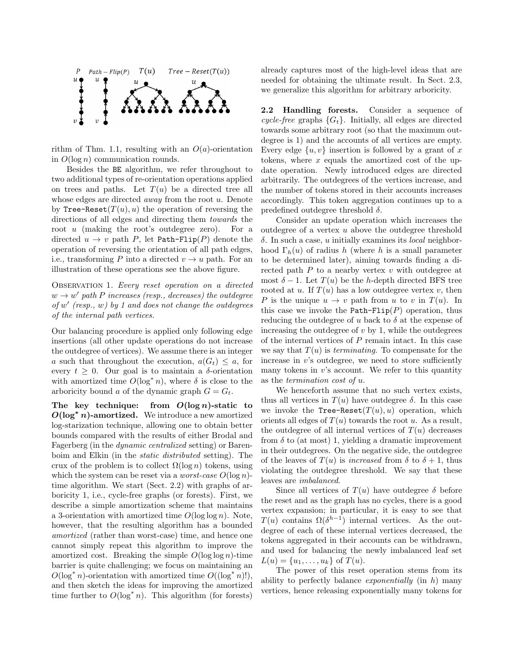

rithm of Thm. 1.1, resulting with an  $O(a)$ -orientation in  $O(\log n)$  communication rounds.

Besides the BE algorithm, we refer throughout to two additional types of re-orientation operations applied on trees and paths. Let  $T(u)$  be a directed tree all whose edges are directed *away* from the root  $u$ . Denote by Tree-Reset $(T(u), u)$  the operation of reversing the directions of all edges and directing them towards the root u (making the root's outdegree zero). For a directed  $u \to v$  path P, let Path-Flip(P) denote the operation of reversing the orientation of all path edges, i.e., transforming P into a directed  $v \rightarrow u$  path. For an illustration of these operations see the above figure.

Observation 1. Every reset operation on a directed  $w \rightarrow w'$  path P increases (resp., decreases) the outdegree of  $w'$  (resp.,  $w$ ) by 1 and does not change the outdegrees of the internal path vertices.

Our balancing procedure is applied only following edge insertions (all other update operations do not increase the outdegree of vertices). We assume there is an integer a such that throughout the execution,  $a(G_t) \leq a$ , for every  $t \geq 0$ . Our goal is to maintain a  $\delta$ -orientation with amortized time  $O(\log^* n)$ , where  $\delta$  is close to the arboricity bound a of the dynamic graph  $G = G_t$ .

The key technique: from  $O(\log n)$ -static to  $O(\log^* n)$ -amortized. We introduce a new amortized log-starization technique, allowing one to obtain better bounds compared with the results of either Brodal and Fagerberg (in the dynamic centralized setting) or Barenboim and Elkin (in the static distributed setting). The crux of the problem is to collect  $\Omega(\log n)$  tokens, using which the system can be reset via a *worst-case*  $O(\log n)$ time algorithm. We start (Sect. 2.2) with graphs of arboricity 1, i.e., cycle-free graphs (or forests). First, we describe a simple amortization scheme that maintains a 3-orientation with amortized time  $O(\log \log n)$ . Note, however, that the resulting algorithm has a bounded amortized (rather than worst-case) time, and hence one cannot simply repeat this algorithm to improve the amortized cost. Breaking the simple  $O(\log \log n)$ -time barrier is quite challenging; we focus on maintaining an  $O(\log^* n)$ -orientation with amortized time  $O((\log^* n)!)$ , and then sketch the ideas for improving the amortized time further to  $O(\log^* n)$ . This algorithm (for forests)

already captures most of the high-level ideas that are needed for obtaining the ultimate result. In Sect. 2.3, we generalize this algorithm for arbitrary arboricity.

2.2 Handling forests. Consider a sequence of cycle-free graphs  $\{G_t\}$ . Initially, all edges are directed towards some arbitrary root (so that the maximum outdegree is 1) and the accounts of all vertices are empty. Every edge  $\{u, v\}$  insertion is followed by a grant of x tokens, where  $x$  equals the amortized cost of the update operation. Newly introduced edges are directed arbitrarily. The outdegrees of the vertices increase, and the number of tokens stored in their accounts increases accordingly. This token aggregation continues up to a predefined outdegree threshold  $\delta$ .

Consider an update operation which increases the outdegree of a vertex  $u$  above the outdegree threshold δ. In such a case, u initially examines its *local* neighborhood  $\Gamma_h(u)$  of radius h (where h is a small parameter to be determined later), aiming towards finding a directed path  $P$  to a nearby vertex  $v$  with outdegree at most  $\delta - 1$ . Let  $T(u)$  be the h-depth directed BFS tree rooted at u. If  $T(u)$  has a low outdegree vertex v, then P is the unique  $u \to v$  path from u to v in  $T(u)$ . In this case we invoke the  $Path-Flip(P)$  operation, thus reducing the outdegree of u back to  $\delta$  at the expense of increasing the outdegree of  $v$  by 1, while the outdegrees of the internal vertices of  $P$  remain intact. In this case we say that  $T(u)$  is *terminating*. To compensate for the increase in  $v$ 's outdegree, we need to store sufficiently many tokens in  $v$ 's account. We refer to this quantity as the termination cost of u.

We henceforth assume that no such vertex exists, thus all vertices in  $T(u)$  have outdegree  $\delta$ . In this case we invoke the Tree-Reset $(T(u), u)$  operation, which orients all edges of  $T(u)$  towards the root u. As a result, the outdegree of all internal vertices of  $T(u)$  decreases from  $\delta$  to (at most) 1, yielding a dramatic improvement in their outdegrees. On the negative side, the outdegree of the leaves of  $T(u)$  is increased from  $\delta$  to  $\delta + 1$ , thus violating the outdegree threshold. We say that these leaves are imbalanced.

Since all vertices of  $T(u)$  have outdegree  $\delta$  before the reset and as the graph has no cycles, there is a good vertex expansion; in particular, it is easy to see that  $T(u)$  contains  $\Omega(\delta^{h-1})$  internal vertices. As the outdegree of each of these internal vertices decreased, the tokens aggregated in their accounts can be withdrawn, and used for balancing the newly imbalanced leaf set  $L(u) = \{u_1, \ldots, u_k\}$  of  $T(u)$ .

The power of this reset operation stems from its ability to perfectly balance *exponentially* (in h) many vertices, hence releasing exponentially many tokens for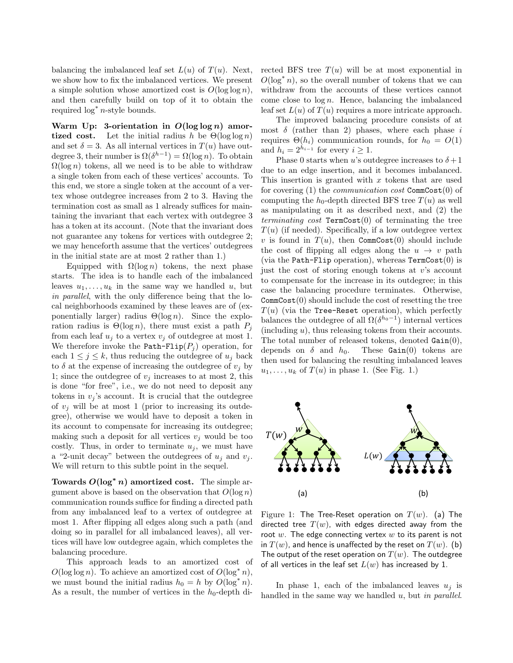balancing the imbalanced leaf set  $L(u)$  of  $T(u)$ . Next, we show how to fix the imbalanced vertices. We present a simple solution whose amortized cost is  $O(\log \log n)$ , and then carefully build on top of it to obtain the required  $\log^* n$ -style bounds.

Warm Up: 3-orientation in  $O(\log \log n)$  amor**tized cost.** Let the initial radius h be  $\Theta(\log \log n)$ and set  $\delta = 3$ . As all internal vertices in  $T(u)$  have outdegree 3, their number is  $\Omega(\delta^{h-1}) = \Omega(\log n)$ . To obtain  $\Omega(\log n)$  tokens, all we need is to be able to withdraw a single token from each of these vertices' accounts. To this end, we store a single token at the account of a vertex whose outdegree increases from 2 to 3. Having the termination cost as small as 1 already suffices for maintaining the invariant that each vertex with outdegree 3 has a token at its account. (Note that the invariant does not guarantee any tokens for vertices with outdegree 2; we may henceforth assume that the vertices' outdegrees in the initial state are at most 2 rather than 1.)

Equipped with  $\Omega(\log n)$  tokens, the next phase starts. The idea is to handle each of the imbalanced leaves  $u_1, \ldots, u_k$  in the same way we handled u, but in parallel, with the only difference being that the local neighborhoods examined by these leaves are of (exponentially larger) radius  $\Theta(\log n)$ . Since the exploration radius is  $\Theta(\log n)$ , there must exist a path  $P_i$ from each leaf  $u_i$  to a vertex  $v_i$  of outdegree at most 1. We therefore invoke the Path-Flip $(P_i)$  operation, for each  $1 \leq j \leq k$ , thus reducing the outdegree of  $u_j$  back to  $\delta$  at the expense of increasing the outdegree of  $v_i$  by 1; since the outdegree of  $v_i$  increases to at most 2, this is done "for free", i.e., we do not need to deposit any tokens in  $v_j$ 's account. It is crucial that the outdegree of  $v_i$  will be at most 1 (prior to increasing its outdegree), otherwise we would have to deposit a token in its account to compensate for increasing its outdegree; making such a deposit for all vertices  $v_j$  would be too costly. Thus, in order to terminate  $u_j$ , we must have a "2-unit decay" between the outdegrees of  $u_i$  and  $v_j$ . We will return to this subtle point in the sequel.

Towards  $O(\log^* n)$  amortized cost. The simple argument above is based on the observation that  $O(\log n)$ communication rounds suffice for finding a directed path from any imbalanced leaf to a vertex of outdegree at most 1. After flipping all edges along such a path (and doing so in parallel for all imbalanced leaves), all vertices will have low outdegree again, which completes the balancing procedure.

This approach leads to an amortized cost of  $O(\log \log n)$ . To achieve an amortized cost of  $O(\log^* n)$ , we must bound the initial radius  $h_0 = h$  by  $O(\log^* n)$ . As a result, the number of vertices in the  $h_0$ -depth directed BFS tree  $T(u)$  will be at most exponential in  $O(\log^* n)$ , so the overall number of tokens that we can withdraw from the accounts of these vertices cannot come close to  $log n$ . Hence, balancing the imbalanced leaf set  $L(u)$  of  $T(u)$  requires a more intricate approach.

The improved balancing procedure consists of at most  $\delta$  (rather than 2) phases, where each phase i requires  $\Theta(h_i)$  communication rounds, for  $h_0 = O(1)$ and  $h_i = 2^{h_{i-1}}$  for every  $i \geq 1$ .

Phase 0 starts when u's outdegree increases to  $\delta + 1$ due to an edge insertion, and it becomes imbalanced. This insertion is granted with  $x$  tokens that are used for covering  $(1)$  the *communication cost* CommCost $(0)$  of computing the  $h_0$ -depth directed BFS tree  $T(u)$  as well as manipulating on it as described next, and (2) the terminating  $cost$  TermCost $(0)$  of terminating the tree  $T(u)$  (if needed). Specifically, if a low outdegree vertex v is found in  $T(u)$ , then CommCost(0) should include the cost of flipping all edges along the  $u \rightarrow v$  path (via the Path-Flip operation), whereas  $TermCost(0)$  is just the cost of storing enough tokens at v's account to compensate for the increase in its outdegree; in this case the balancing procedure terminates. Otherwise,  $CommonCost(0)$  should include the cost of resetting the tree  $T(u)$  (via the Tree-Reset operation), which perfectly balances the outdegree of all  $\Omega(\delta^{h_0-1})$  internal vertices  $(including u)$ , thus releasing tokens from their accounts. The total number of released tokens, denoted  $Gain(0)$ , depends on  $\delta$  and  $h_0$ . These Gain(0) tokens are then used for balancing the resulting imbalanced leaves  $u_1, \ldots, u_k$  of  $T(u)$  in phase 1. (See Fig. 1.)



Figure 1: The Tree-Reset operation on  $T(w)$ . (a) The directed tree  $T(w)$ , with edges directed away from the root  $w$ . The edge connecting vertex  $w$  to its parent is not in  $T(w)$ , and hence is unaffected by the reset on  $T(w)$ . (b) The output of the reset operation on  $T(w)$ . The outdegree of all vertices in the leaf set  $L(w)$  has increased by 1.

In phase 1, each of the imbalanced leaves  $u_i$  is handled in the same way we handled  $u$ , but in parallel.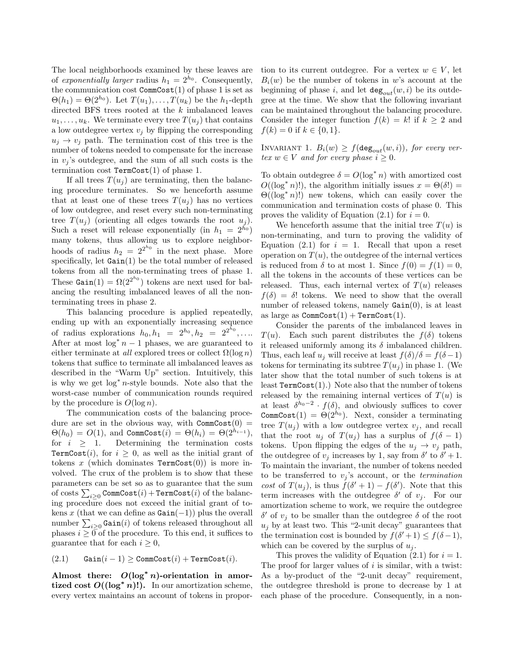The local neighborhoods examined by these leaves are of exponentially larger radius  $h_1 = 2^{h_0}$ . Consequently, the communication cost  $CommCost(1)$  of phase 1 is set as  $\Theta(h_1) = \Theta(2^{h_0})$ . Let  $T(u_1), \ldots, T(u_k)$  be the  $h_1$ -depth directed BFS trees rooted at the  $k$  imbalanced leaves  $u_1, \ldots, u_k$ . We terminate every tree  $T(u_i)$  that contains a low outdegree vertex  $v_i$  by flipping the corresponding  $u_i \rightarrow v_i$  path. The termination cost of this tree is the number of tokens needed to compensate for the increase in  $v_i$ 's outdegree, and the sum of all such costs is the termination cost TermCost(1) of phase 1.

If all trees  $T(u_i)$  are terminating, then the balancing procedure terminates. So we henceforth assume that at least one of these trees  $T(u_i)$  has no vertices of low outdegree, and reset every such non-terminating tree  $T(u_i)$  (orienting all edges towards the root  $u_i$ ). Such a reset will release exponentially (in  $h_1 = 2^{h_0}$ ) many tokens, thus allowing us to explore neighborhoods of radius  $h_2 = 2^{2^{h_0}}$  in the next phase. More specifically, let  $Gain(1)$  be the total number of released tokens from all the non-terminating trees of phase 1. These  $\text{Gain}(1) = \Omega(2^{2^{h_0}})$  tokens are next used for balancing the resulting imbalanced leaves of all the nonterminating trees in phase 2.

This balancing procedure is applied repeatedly, ending up with an exponentially increasing sequence of radius explorations  $h_0, h_1 = 2^{h_0}, h_2 = 2^{2^{h_0}}, \dots$ After at most  $\log^* n - 1$  phases, we are guaranteed to either terminate at *all* explored trees or collect  $\Omega(\log n)$ tokens that suffice to terminate all imbalanced leaves as described in the "Warm Up" section. Intuitively, this is why we get  $\log^* n$ -style bounds. Note also that the worst-case number of communication rounds required by the procedure is  $O(\log n)$ .

The communication costs of the balancing procedure are set in the obvious way, with  $CommCost(0) =$  $\Theta(h_0) = O(1)$ , and CommCost $(i) = \Theta(h_i) = \Theta(2^{h_{i-1}})$ , for  $i \geq 1$ . Determining the termination costs TermCost(i), for  $i \geq 0$ , as well as the initial grant of tokens x (which dominates  $TermCost(0)$ ) is more involved. The crux of the problem is to show that these parameters can be set so as to guarantee that the sum of  $\text{costs } \sum_{i\geq 0} \texttt{CommCost}(i) + \texttt{TermCost}(i)$  of the balancing procedure does not exceed the initial grant of tokens x (that we can define as  $Gain(-1)$ ) plus the overall number  $\sum_{i\geq 0}$ Gain $(i)$  of tokens released throughout all phases  $i \geq 0$  of the procedure. To this end, it suffices to guarantee that for each  $i \geq 0$ ,

(2.1) Gain $(i-1) \geq$  CommCost $(i)$  + TermCost $(i)$ .

Almost there:  $O(\log^* n)$ -orientation in amortized cost  $O((\log^* n)!)$ . In our amortization scheme, every vertex maintains an account of tokens in proportion to its current outdegree. For a vertex  $w \in V$ , let  $B_i(w)$  be the number of tokens in w's account at the beginning of phase i, and let  $deg_{out}(w, i)$  be its outdegree at the time. We show that the following invariant can be maintained throughout the balancing procedure. Consider the integer function  $f(k) = k!$  if  $k \geq 2$  and  $f(k) = 0$  if  $k \in \{0, 1\}.$ 

INVARIANT 1.  $B_i(w) \geq f(\deg_{out}(w, i))$ , for every vertex  $w \in V$  and for every phase  $i \geq 0$ .

To obtain outdegree  $\delta = O(\log^* n)$  with amortized cost  $O((\log^* n)!)$ , the algorithm initially issues  $x = \Theta(\delta!) =$  $\Theta((\log^* n)!)$  new tokens, which can easily cover the communication and termination costs of phase 0. This proves the validity of Equation (2.1) for  $i = 0$ .

We henceforth assume that the initial tree  $T(u)$  is non-terminating, and turn to proving the validity of Equation (2.1) for  $i = 1$ . Recall that upon a reset operation on  $T(u)$ , the outdegree of the internal vertices is reduced from  $\delta$  to at most 1. Since  $f(0) = f(1) = 0$ , all the tokens in the accounts of these vertices can be released. Thus, each internal vertex of  $T(u)$  releases  $f(\delta) = \delta!$  tokens. We need to show that the overall number of released tokens, namely  $Gain(0)$ , is at least as large as  $CommCost(1) + TermCost(1)$ .

Consider the parents of the imbalanced leaves in  $T(u)$ . Each such parent distributes the  $f(\delta)$  tokens it released uniformly among its  $\delta$  imbalanced children. Thus, each leaf  $u_i$  will receive at least  $f(\delta)/\delta = f(\delta-1)$ tokens for terminating its subtree  $T(u_i)$  in phase 1. (We later show that the total number of such tokens is at least  $TermCost(1)$ .) Note also that the number of tokens released by the remaining internal vertices of  $T(u)$  is at least  $\delta^{h_0-2} \cdot f(\delta)$ , and obviously suffices to cover CommCost(1) =  $\Theta(2^{h_0})$ . Next, consider a terminating tree  $T(u_i)$  with a low outdegree vertex  $v_i$ , and recall that the root  $u_j$  of  $T(u_j)$  has a surplus of  $f(\delta - 1)$ tokens. Upon flipping the edges of the  $u_j \rightarrow v_j$  path, the outdegree of  $v_j$  increases by 1, say from  $\delta'$  to  $\delta' + 1$ . To maintain the invariant, the number of tokens needed to be transferred to  $v_i$ 's account, or the *termination* cost of  $T(u_j)$ , is thus  $f(\delta' + 1) - f(\delta')$ . Note that this term increases with the outdegree  $\delta'$  of  $v_j$ . For our amortization scheme to work, we require the outdegree δ' of  $v_j$  to be smaller than the outdegree δ of the root  $u_j$  by at least two. This "2-unit decay" guarantees that the termination cost is bounded by  $f(\delta' + 1) \leq f(\delta - 1)$ , which can be covered by the surplus of  $u_i$ .

This proves the validity of Equation (2.1) for  $i = 1$ . The proof for larger values of  $i$  is similar, with a twist: As a by-product of the "2-unit decay" requirement, the outdegree threshold is prone to decrease by 1 at each phase of the procedure. Consequently, in a non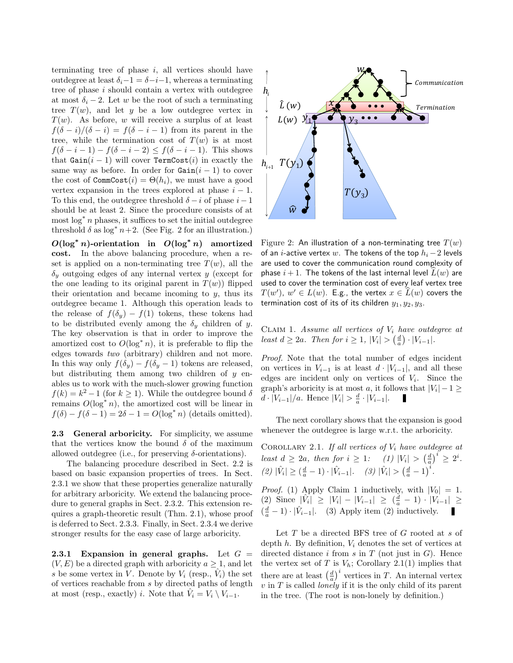terminating tree of phase  $i$ , all vertices should have outdegree at least  $\delta_i-1=\delta-i-1$ , whereas a terminating tree of phase i should contain a vertex with outdegree at most  $\delta_i - 2$ . Let w be the root of such a terminating tree  $T(w)$ , and let y be a low outdegree vertex in  $T(w)$ . As before, w will receive a surplus of at least  $f(\delta - i)/(\delta - i) = f(\delta - i - 1)$  from its parent in the tree, while the termination cost of  $T(w)$  is at most  $f(\delta - i - 1) - f(\delta - i - 2) \leq f(\delta - i - 1)$ . This shows that  $Gain(i - 1)$  will cover  $TermCost(i)$  in exactly the same way as before. In order for  $Gain(i - 1)$  to cover the cost of  $\text{CommCost}(i) = \Theta(h_i)$ , we must have a good vertex expansion in the trees explored at phase  $i - 1$ . To this end, the outdegree threshold  $\delta - i$  of phase  $i - 1$ should be at least 2. Since the procedure consists of at most  $\log^* n$  phases, it suffices to set the initial outdegree threshold  $\delta$  as log<sup>\*</sup>  $n+2$ . (See Fig. 2 for an illustration.)

 $O(\log^* n)$ -orientation in  $O(\log^* n)$  amortized cost. In the above balancing procedure, when a reset is applied on a non-terminating tree  $T(w)$ , all the  $\delta_y$  outgoing edges of any internal vertex y (except for the one leading to its original parent in  $T(w)$  flipped their orientation and became incoming to  $y$ , thus its outdegree became 1. Although this operation leads to the release of  $f(\delta_y) - f(1)$  tokens, these tokens had to be distributed evenly among the  $\delta_y$  children of y. The key observation is that in order to improve the amortized cost to  $O(\log^* n)$ , it is preferable to flip the edges towards two (arbitrary) children and not more. In this way only  $f(\delta_y) - f(\delta_y - 1)$  tokens are released, but distributing them among two children of  $y$  enables us to work with the much-slower growing function  $f(k) = k^2 - 1$  (for  $k \ge 1$ ). While the outdegree bound  $\delta$ remains  $O(\log^* n)$ , the amortized cost will be linear in  $f(\delta) - f(\delta - 1) = 2\delta - 1 = O(\log^* n)$  (details omitted).

2.3 General arboricity. For simplicity, we assume that the vertices know the bound  $\delta$  of the maximum allowed outdegree (i.e., for preserving  $\delta$ -orientations).

The balancing procedure described in Sect. 2.2 is based on basic expansion properties of trees. In Sect. 2.3.1 we show that these properties generalize naturally for arbitrary arboricity. We extend the balancing procedure to general graphs in Sect. 2.3.2. This extension requires a graph-theoretic result (Thm. 2.1), whose proof is deferred to Sect. 2.3.3. Finally, in Sect. 2.3.4 we derive stronger results for the easy case of large arboricity.

2.3.1 Expansion in general graphs. Let  $G =$  $(V, E)$  be a directed graph with arboricity  $a > 1$ , and let s be some vertex in V. Denote by  $V_i$  (resp.,  $\hat{V}_i$ ) the set of vertices reachable from s by directed paths of length at most (resp., exactly) *i*. Note that  $\hat{V}_i = V_i \setminus V_{i-1}$ .



Figure 2: An illustration of a non-terminating tree  $T(w)$ of an *i*-active vertex w. The tokens of the top  $h_i - 2$  levels are used to cover the communication round complexity of phase  $i + 1$ . The tokens of the last internal level  $L(w)$  are used to cover the termination cost of every leaf vertex tree  $T(w'),\ w'\in L(w).$  E.g., the vertex  $x\in \widehat{L}(w)$  covers the termination cost of its of its children  $y_1, y_2, y_3$ .

CLAIM 1. Assume all vertices of  $V_i$  have outdegree at least  $d \geq 2a$ . Then for  $i \geq 1$ ,  $|V_i| > \left(\frac{d}{a}\right) \cdot |V_{i-1}|$ .

Proof. Note that the total number of edges incident on vertices in  $V_{i-1}$  is at least  $d \cdot |V_{i-1}|$ , and all these edges are incident only on vertices of  $V_i$ . Since the graph's arboricity is at most a, it follows that  $|V_i| - 1 \ge$  $d \cdot |V_{i-1}|/a$ . Hence  $|V_i| > \frac{d}{a} \cdot |V_{i-1}|$ .

The next corollary shows that the expansion is good whenever the outdegree is large w.r.t. the arboricity.

COROLLARY 2.1. If all vertices of  $V_i$  have outdegree at least  $d \geq 2a$ , then for  $i \geq 1$ :  $(1) |V_i| > \left(\frac{d}{a}\right)^i \geq 2^i$ . (2)  $|\hat{V}_i| \geq (\frac{d}{a} - 1) \cdot |\hat{V}_{i-1}|$ . (3)  $|\hat{V}_i| > (\frac{d}{a} - 1)^i$ .

*Proof.* (1) Apply Claim 1 inductively, with  $|V_0| = 1$ . (2) Since  $|\hat{V}_i| \geq |V_i| - |V_{i-1}| \geq (\frac{d}{a} - 1) \cdot |V_{i-1}| \geq$  $\left(\frac{d}{a}-1\right) \cdot |\hat{V}_{i-1}|.$  (3) Apply item (2) inductively.

Let  $T$  be a directed BFS tree of  $G$  rooted at  $s$  of depth  $h$ . By definition,  $V_i$  denotes the set of vertices at directed distance  $i$  from  $s$  in  $T$  (not just in  $G$ ). Hence the vertex set of T is  $V_h$ ; Corollary 2.1(1) implies that there are at least  $\left(\frac{d}{a}\right)^i$  vertices in T. An internal vertex  $v$  in T is called *lonely* if it is the only child of its parent in the tree. (The root is non-lonely by definition.)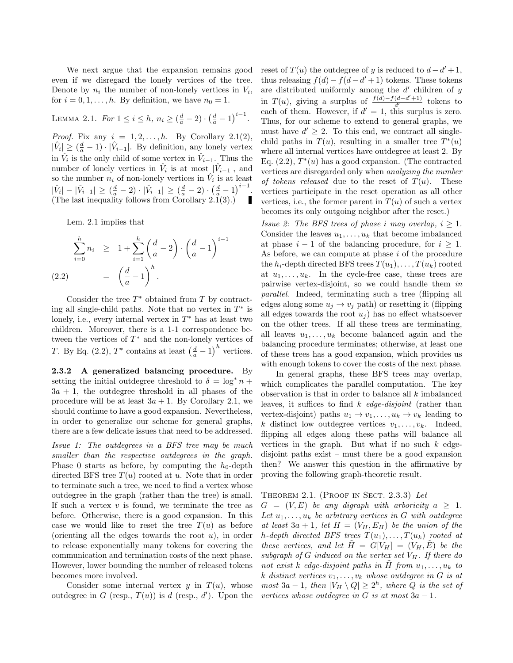We next argue that the expansion remains good even if we disregard the lonely vertices of the tree. Denote by  $n_i$  the number of non-lonely vertices in  $V_i$ , for  $i = 0, 1, \ldots, h$ . By definition, we have  $n_0 = 1$ .

LEMMA 2.1. For  $1 \le i \le h$ ,  $n_i \ge (\frac{d}{a} - 2) \cdot (\frac{d}{a} - 1)^{i-1}$ .

*Proof.* Fix any  $i = 1, 2, ..., h$ . By Corollary 2.1(2),  $|\hat{V}_i| \geq (\frac{d}{a} - 1) \cdot |\hat{V}_{i-1}|$ . By definition, any lonely vertex in  $\hat{V}_i$  is the only child of some vertex in  $\hat{V}_{i-1}$ . Thus the number of lonely vertices in  $\hat{V}_i$  is at most  $|\hat{V}_{i-1}|$ , and so the number  $n_i$  of non-lonely vertices in  $\hat{V}_i$  is at least  $|\hat{V}_i| - |\hat{V}_{i-1}| \geq (\frac{d}{a} - 2) \cdot |\hat{V}_{i-1}| \geq (\frac{d}{a} - 2) \cdot (\frac{d}{a} - 1)^{i-1}$ . (The last inequality follows from Corollary 2.1(3).)

Lem. 2.1 implies that

$$
\sum_{i=0}^{h} n_i \ge 1 + \sum_{i=1}^{h} \left(\frac{d}{a} - 2\right) \cdot \left(\frac{d}{a} - 1\right)^{i-1}
$$
\n
$$
(2.2) = \left(\frac{d}{a} - 1\right)^h.
$$

Consider the tree  $T^*$  obtained from  $T$  by contracting all single-child paths. Note that no vertex in  $T^*$  is lonely, i.e., every internal vertex in  $T^*$  has at least two children. Moreover, there is a 1-1 correspondence between the vertices of  $T^*$  and the non-lonely vertices of T. By Eq. (2.2),  $T^*$  contains at least  $\left(\frac{d}{a} - 1\right)^h$  vertices.

2.3.2 A generalized balancing procedure. By setting the initial outdegree threshold to  $\delta = \log^* n +$  $3a + 1$ , the outdegree threshold in all phases of the procedure will be at least  $3a + 1$ . By Corollary 2.1, we should continue to have a good expansion. Nevertheless, in order to generalize our scheme for general graphs, there are a few delicate issues that need to be addressed.

Issue 1: The outdegrees in a BFS tree may be much smaller than the respective outdegrees in the graph. Phase 0 starts as before, by computing the  $h_0$ -depth directed BFS tree  $T(u)$  rooted at u. Note that in order to terminate such a tree, we need to find a vertex whose outdegree in the graph (rather than the tree) is small. If such a vertex  $v$  is found, we terminate the tree as before. Otherwise, there is a good expansion. In this case we would like to reset the tree  $T(u)$  as before (orienting all the edges towards the root  $u$ ), in order to release exponentially many tokens for covering the communication and termination costs of the next phase. However, lower bounding the number of released tokens becomes more involved.

Consider some internal vertex  $y$  in  $T(u)$ , whose outdegree in G (resp.,  $T(u)$ ) is d (resp., d'). Upon the

reset of  $T(u)$  the outdegree of y is reduced to  $d - d' + 1$ , thus releasing  $f(d) - f(d - d' + 1)$  tokens. These tokens are distributed uniformly among the  $d'$  children of y in  $T(u)$ , giving a surplus of  $\frac{f(d)-f(d-d'+1)}{d'}$  tokens to each of them. However, if  $d' = 1$ , this surplus is zero. Thus, for our scheme to extend to general graphs, we must have  $d' \geq 2$ . To this end, we contract all singlechild paths in  $T(u)$ , resulting in a smaller tree  $T^*(u)$ where all internal vertices have outdegree at least 2. By Eq.  $(2.2)$ ,  $T^*(u)$  has a good expansion. (The contracted vertices are disregarded only when analyzing the number of tokens released due to the reset of  $T(u)$ . These vertices participate in the reset operation as all other vertices, i.e., the former parent in  $T(u)$  of such a vertex becomes its only outgoing neighbor after the reset.)

*Issue 2:* The BFS trees of phase i may overlap,  $i \geq 1$ . Consider the leaves  $u_1, \ldots, u_k$  that become imbalanced at phase  $i - 1$  of the balancing procedure, for  $i \geq 1$ . As before, we can compute at phase  $i$  of the procedure the  $h_i$ -depth directed BFS trees  $T(u_1), \ldots, T(u_k)$  rooted at  $u_1, \ldots, u_k$ . In the cycle-free case, these trees are pairwise vertex-disjoint, so we could handle them in parallel. Indeed, terminating such a tree (flipping all edges along some  $u_i \rightarrow v_j$  path) or resetting it (flipping all edges towards the root  $u_i$ ) has no effect whatsoever on the other trees. If all these trees are terminating, all leaves  $u_1, \ldots, u_k$  become balanced again and the balancing procedure terminates; otherwise, at least one of these trees has a good expansion, which provides us with enough tokens to cover the costs of the next phase.

In general graphs, these BFS trees may overlap, which complicates the parallel computation. The key observation is that in order to balance all  $k$  imbalanced leaves, it suffices to find  $k$  edge-disjoint (rather than vertex-disjoint) paths  $u_1 \rightarrow v_1, \ldots, u_k \rightarrow v_k$  leading to k distinct low outdegree vertices  $v_1, \ldots, v_k$ . Indeed, flipping all edges along these paths will balance all vertices in the graph. But what if no such  $k$  edgedisjoint paths exist – must there be a good expansion then? We answer this question in the affirmative by proving the following graph-theoretic result.

#### THEOREM 2.1. (PROOF IN SECT. 2.3.3) Let

 $G = (V, E)$  be any digraph with arboricity  $a \geq 1$ . Let  $u_1, \ldots, u_k$  be arbitrary vertices in G with outdegree at least  $3a + 1$ , let  $H = (V_H, E_H)$  be the union of the h-depth directed BFS trees  $T(u_1), \ldots, T(u_k)$  rooted at these vertices, and let  $H = G[V_H] = (V_H, E)$  be the subgraph of G induced on the vertex set  $V_H$ . If there do not exist k edge-disjoint paths in H from  $u_1, \ldots, u_k$  to k distinct vertices  $v_1, \ldots, v_k$  whose outdegree in G is at most 3a – 1, then  $|V_H \setminus Q| \geq 2^h$ , where Q is the set of vertices whose outdegree in G is at most  $3a - 1$ .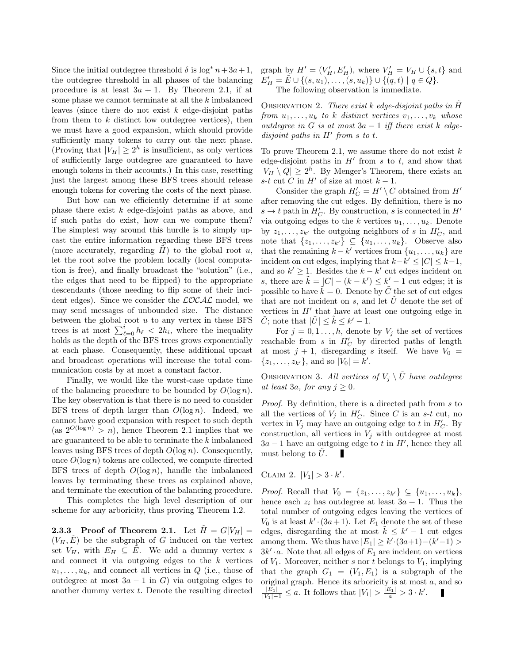Since the initial outdegree threshold  $\delta$  is log<sup>\*</sup>  $n+3a+1$ , the outdegree threshold in all phases of the balancing procedure is at least  $3a + 1$ . By Theorem 2.1, if at some phase we cannot terminate at all the k imbalanced leaves (since there do not exist  $k$  edge-disjoint paths from them to  $k$  distinct low outdegree vertices), then we must have a good expansion, which should provide sufficiently many tokens to carry out the next phase. (Proving that  $|V_H| \geq 2^h$  is insufficient, as only vertices of sufficiently large outdegree are guaranteed to have enough tokens in their accounts.) In this case, resetting just the largest among these BFS trees should release enough tokens for covering the costs of the next phase.

But how can we efficiently determine if at some phase there exist  $k$  edge-disjoint paths as above, and if such paths do exist, how can we compute them? The simplest way around this hurdle is to simply upcast the entire information regarding these BFS trees (more accurately, regarding  $H$ ) to the global root  $u$ , let the root solve the problem locally (local computation is free), and finally broadcast the "solution" (i.e., the edges that need to be flipped) to the appropriate descendants (those needing to flip some of their incident edges). Since we consider the  $\mathcal{L}O\mathcal{C}A\mathcal{L}$  model, we may send messages of unbounded size. The distance between the global root  $u$  to any vertex in these BFS trees is at most  $\sum_{\ell=0}^i h_\ell < 2h_i$ , where the inequality holds as the depth of the BFS trees grows exponentially at each phase. Consequently, these additional upcast and broadcast operations will increase the total communication costs by at most a constant factor.

Finally, we would like the worst-case update time of the balancing procedure to be bounded by  $O(\log n)$ . The key observation is that there is no need to consider BFS trees of depth larger than  $O(\log n)$ . Indeed, we cannot have good expansion with respect to such depth (as  $2^{O(\log n)} > n$ ), hence Theorem 2.1 implies that we are guaranteed to be able to terminate the k imbalanced leaves using BFS trees of depth  $O(\log n)$ . Consequently, once  $O(\log n)$  tokens are collected, we compute directed BFS trees of depth  $O(\log n)$ , handle the imbalanced leaves by terminating these trees as explained above, and terminate the execution of the balancing procedure.

This completes the high level description of our scheme for any arboricity, thus proving Theorem 1.2.

**2.3.3** Proof of Theorem 2.1. Let  $\hat{H} = G[V_H] =$  $(V_H, \hat{E})$  be the subgraph of G induced on the vertex set  $V_H$ , with  $E_H \subseteq E$ . We add a dummy vertex s and connect it via outgoing edges to the  $k$  vertices  $u_1, \ldots, u_k$ , and connect all vertices in Q (i.e., those of outdegree at most  $3a - 1$  in G) via outgoing edges to another dummy vertex  $t$ . Denote the resulting directed graph by  $H' = (V'_H, E'_H)$ , where  $V'_H = V_H \cup \{s, t\}$  and  $E'_H = \tilde{E} \cup \{(s, u_1), \ldots, (s, u_k)\} \cup \{(q, t) \mid q \in Q\}.$ The following observation is immediate.

OBSERVATION 2. There exist k edge-disjoint paths in  $\tilde{H}$ from  $u_1, \ldots, u_k$  to k distinct vertices  $v_1, \ldots, v_k$  whose outdegree in G is at most  $3a - 1$  iff there exist k edgedisjoint paths in  $H'$  from s to t.

To prove Theorem 2.1, we assume there do not exist  $k$ edge-disjoint paths in  $H'$  from s to t, and show that  $|V_H \setminus Q| \geq 2^h$ . By Menger's Theorem, there exists an s-t cut C in  $H'$  of size at most  $k - 1$ .

Consider the graph  $H_C' = H' \setminus C$  obtained from  $H'$ after removing the cut edges. By definition, there is no  $s \to t$  path in  $H_C'$ . By construction, s is connected in  $H'$ via outgoing edges to the k vertices  $u_1, \ldots, u_k$ . Denote by  $z_1, \ldots, z_{k'}$  the outgoing neighbors of s in  $H_C'$ , and note that  $\{z_1, \ldots, z_{k'}\} \subseteq \{u_1, \ldots, u_k\}$ . Observe also that the remaining  $k - k'$  vertices from  $\{u_1, \ldots, u_k\}$  are incident on cut edges, implying that  $k - k' \leq |C| \leq k - 1$ , and so  $k' \geq 1$ . Besides the  $k - k'$  cut edges incident on s, there are  $\tilde{k} = |C| - (k - k') \leq k' - 1$  cut edges; it is possible to have  $\tilde{k} = 0$ . Denote by  $\tilde{C}$  the set of cut edges that are not incident on  $s$ , and let  $U$  denote the set of vertices in  $H'$  that have at least one outgoing edge in  $\tilde{C}$ ; note that  $|\tilde{U}| \leq \tilde{k} \leq k'-1$ .

For  $j = 0, 1, \ldots, h$ , denote by  $V_j$  the set of vertices reachable from  $s$  in  $H'_C$  by directed paths of length at most  $j + 1$ , disregarding s itself. We have  $V_0 =$  $\{z_1, \ldots, z_{k'}\},$  and so  $|V_0| = k'.$ 

OBSERVATION 3. All vertices of  $V_i \setminus \tilde{U}$  have outdegree at least 3a, for any  $j \geq 0$ .

Proof. By definition, there is a directed path from s to all the vertices of  $V_j$  in  $H'_C$ . Since C is an s-t cut, no vertex in  $V_j$  may have an outgoing edge to t in  $H'_C$ . By construction, all vertices in  $V_i$  with outdegree at most  $3a - 1$  have an outgoing edge to t in H', hence they all must belong to  $U$ .

CLAIM 2.  $|V_1| > 3 \cdot k'$ .

*Proof.* Recall that  $V_0 = \{z_1, ..., z_{k'}\} \subseteq \{u_1, ..., u_k\},\$ hence each  $z_i$  has outdegree at least  $3a + 1$ . Thus the total number of outgoing edges leaving the vertices of  $V_0$  is at least  $k' \cdot (3a+1)$ . Let  $E_1$  denote the set of these edges, disregarding the at most  $\tilde{k} \leq k' - 1$  cut edges among them. We thus have  $|E_1| \ge k' \cdot (3a+1) - (k'-1) >$  $3k' \cdot a$ . Note that all edges of  $E_1$  are incident on vertices of  $V_1$ . Moreover, neither s nor t belongs to  $V_1$ , implying that the graph  $G_1 = (V_1, E_1)$  is a subgraph of the original graph. Hence its arboricity is at most  $a$ , and so  $\frac{|E_1|}{|V_1|-1} \leq a$ . It follows that  $|V_1| > \frac{|E_1|}{a} > 3 \cdot k'$ .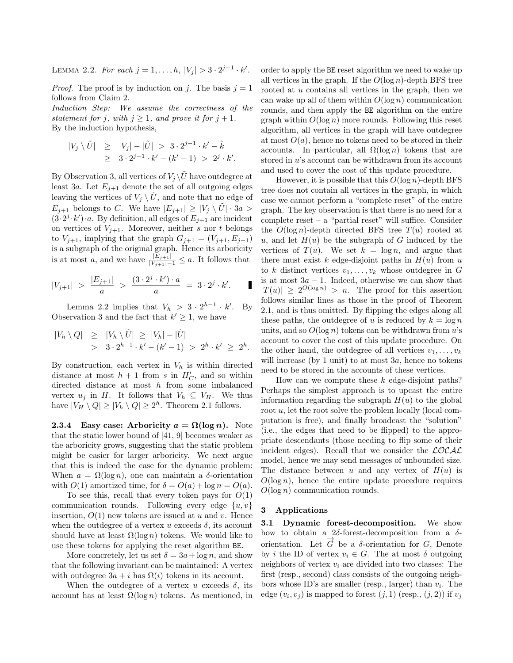LEMMA 2.2. For each  $j = 1, ..., h, |V_j| > 3 \cdot 2^{j-1} \cdot k'$ .

*Proof.* The proof is by induction on j. The basis  $j = 1$ follows from Claim 2.

Induction Step: We assume the correctness of the statement for j, with  $j \geq 1$ , and prove it for  $j + 1$ . By the induction hypothesis,

$$
|V_j \setminus \tilde{U}| \geq |V_j| - |\tilde{U}| > 3 \cdot 2^{j-1} \cdot k' - \tilde{k}
$$
  
\n
$$
\geq 3 \cdot 2^{j-1} \cdot k' - (k' - 1) > 2^j \cdot k'.
$$

By Observation 3, all vertices of  $V_i \backslash \tilde{U}$  have outdegree at least 3a. Let  $E_{i+1}$  denote the set of all outgoing edges leaving the vertices of  $V_j \setminus \tilde{U}$ , and note that no edge of  $E_{i+1}$  belongs to C. We have  $|E_{i+1}| \geq |V_i \setminus \tilde{U}| \cdot 3a >$  $(3\cdot 2^j\cdot k')\cdot a$ . By definition, all edges of  $E_{j+1}$  are incident on vertices of  $V_{j+1}$ . Moreover, neither s nor t belongs to  $V_{j+1}$ , implying that the graph  $G_{j+1} = (V_{j+1}, E_{j+1})$ is a subgraph of the original graph. Hence its arboricity is at most a, and we have  $\frac{|E_{j+1}|}{|V_{j+1}|-1} \leq a$ . It follows that

$$
|V_{j+1}| \ > \ \frac{|E_{j+1}|}{a} \ > \ \frac{(3 \cdot 2^j \cdot k') \cdot a}{a} \ = \ 3 \cdot 2^j \cdot k'.
$$

Lemma 2.2 implies that  $V_h > 3 \cdot 2^{h-1} \cdot k'$ . By Observation 3 and the fact that  $k' \geq 1$ , we have

$$
|V_h \setminus Q| \geq |V_h \setminus \tilde{U}| \geq |V_h| - |\tilde{U}|
$$
  
> 3 \cdot 2<sup>h-1</sup> \cdot k' - (k'-1) > 2<sup>h</sup> \cdot k' \geq 2<sup>h</sup>.

By construction, each vertex in  $V_h$  is within directed distance at most  $h + 1$  from s in  $H_C'$ , and so within directed distance at most  $h$  from some imbalanced vertex  $u_j$  in H. It follows that  $V_h \subseteq V_H$ . We thus have  $|V_H \setminus Q| \ge |V_h \setminus Q| \ge 2^h$ . Theorem 2.1 follows.

2.3.4 Easy case: Arboricity  $a = \Omega(\log n)$ . Note that the static lower bound of [41, 9] becomes weaker as the arboricity grows, suggesting that the static problem might be easier for larger arboricity. We next argue that this is indeed the case for the dynamic problem: When  $a = \Omega(\log n)$ , one can maintain a δ-orientation with  $O(1)$  amortized time, for  $\delta = O(a) + \log n = O(a)$ .

To see this, recall that every token pays for  $O(1)$ communication rounds. Following every edge  $\{u, v\}$ insertion,  $O(1)$  new tokens are issued at u and v. Hence when the outdegree of a vertex u exceeds  $\delta$ , its account should have at least  $\Omega(\log n)$  tokens. We would like to use these tokens for applying the reset algorithm BE.

More concretely, let us set  $\delta = 3a + \log n$ , and show that the following invariant can be maintained: A vertex with outdegree  $3a + i$  has  $\Omega(i)$  tokens in its account.

When the outdegree of a vertex u exceeds  $\delta$ , its account has at least  $\Omega(\log n)$  tokens. As mentioned, in

order to apply the BE reset algorithm we need to wake up all vertices in the graph. If the  $O(\log n)$ -depth BFS tree rooted at u contains all vertices in the graph, then we can wake up all of them within  $O(\log n)$  communication rounds, and then apply the BE algorithm on the entire graph within  $O(\log n)$  more rounds. Following this reset algorithm, all vertices in the graph will have outdegree at most  $O(a)$ , hence no tokens need to be stored in their accounts. In particular, all  $\Omega(\log n)$  tokens that are stored in u's account can be withdrawn from its account and used to cover the cost of this update procedure.

However, it is possible that this  $O(\log n)$ -depth BFS tree does not contain all vertices in the graph, in which case we cannot perform a "complete reset" of the entire graph. The key observation is that there is no need for a complete reset –  $a$  "partial reset" will suffice. Consider the  $O(\log n)$ -depth directed BFS tree  $T(u)$  rooted at u, and let  $H(u)$  be the subgraph of G induced by the vertices of  $T(u)$ . We set  $k = \log n$ , and argue that there must exist k edge-disjoint paths in  $H(u)$  from u to k distinct vertices  $v_1, \ldots, v_k$  whose outdegree in G is at most  $3a - 1$ . Indeed, otherwise we can show that  $|T(u)| \geq 2^{O(\log n)} > n$ . The proof for this assertion follows similar lines as those in the proof of Theorem 2.1, and is thus omitted. By flipping the edges along all these paths, the outdegree of u is reduced by  $k = \log n$ units, and so  $O(\log n)$  tokens can be withdrawn from u's account to cover the cost of this update procedure. On the other hand, the outdegree of all vertices  $v_1, \ldots, v_k$ will increase (by 1 unit) to at most  $3a$ , hence no tokens need to be stored in the accounts of these vertices.

How can we compute these  $k$  edge-disjoint paths? Perhaps the simplest approach is to upcast the entire information regarding the subgraph  $H(u)$  to the global root u, let the root solve the problem locally (local computation is free), and finally broadcast the "solution" (i.e., the edges that need to be flipped) to the appropriate descendants (those needing to flip some of their incident edges). Recall that we consider the  $\mathcal{L}OCA\mathcal{L}$ model, hence we may send messages of unbounded size. The distance between u and any vertex of  $H(u)$  is  $O(\log n)$ , hence the entire update procedure requires  $O(\log n)$  communication rounds.

# 3 Applications

3.1 Dynamic forest-decomposition. We show how to obtain a  $2\delta$ -forest-decomposition from a  $\delta$ orientation. Let  $\overrightarrow{G}$  be a  $\delta$ -orientation for  $G$ , Denote by i the ID of vertex  $v_i \in G$ . The at most  $\delta$  outgoing neighbors of vertex  $v_i$  are divided into two classes: The first (resp., second) class consists of the outgoing neighbors whose ID's are smaller (resp., larger) than  $v_i$ . The edge  $(v_i, v_j)$  is mapped to forest  $(j, 1)$  (resp.,  $(j, 2)$ ) if  $v_j$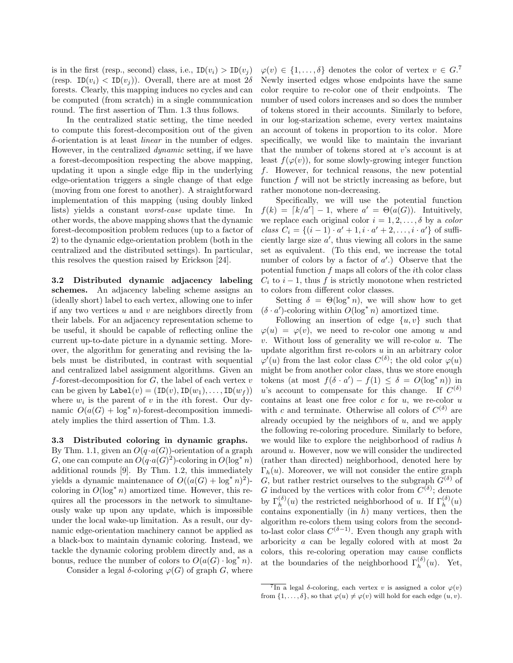is in the first (resp., second) class, i.e.,  $ID(v_i) > ID(v_i)$ (resp. ID $(v_i)$  < ID $(v_j)$ ). Overall, there are at most  $2\delta$ forests. Clearly, this mapping induces no cycles and can be computed (from scratch) in a single communication round. The first assertion of Thm. 1.3 thus follows.

In the centralized static setting, the time needed to compute this forest-decomposition out of the given δ-orientation is at least linear in the number of edges. However, in the centralized dynamic setting, if we have a forest-decomposition respecting the above mapping, updating it upon a single edge flip in the underlying edge-orientation triggers a single change of that edge (moving from one forest to another). A straightforward implementation of this mapping (using doubly linked lists) yields a constant worst-case update time. In other words, the above mapping shows that the dynamic forest-decomposition problem reduces (up to a factor of 2) to the dynamic edge-orientation problem (both in the centralized and the distributed settings). In particular, this resolves the question raised by Erickson [24].

3.2 Distributed dynamic adjacency labeling schemes. An adjacency labeling scheme assigns an (ideally short) label to each vertex, allowing one to infer if any two vertices  $u$  and  $v$  are neighbors directly from their labels. For an adjacency representation scheme to be useful, it should be capable of reflecting online the current up-to-date picture in a dynamic setting. Moreover, the algorithm for generating and revising the labels must be distributed, in contrast with sequential and centralized label assignment algorithms. Given an f-forest-decomposition for  $G$ , the label of each vertex  $v$ can be given by Label $(v) = (ID(v), ID(w_1), \ldots, ID(w_f))$ where  $w_i$  is the parent of v in the *i*th forest. Our dynamic  $O(a(G) + \log^* n)$ -forest-decomposition immediately implies the third assertion of Thm. 1.3.

## 3.3 Distributed coloring in dynamic graphs. By Thm. 1.1, given an  $O(q \cdot a(G))$ -orientation of a graph

G, one can compute an  $O(q \cdot a(G)^2)$ -coloring in  $O(\log^* n)$ additional rounds [9]. By Thm. 1.2, this immediately yields a dynamic maintenance of  $O((a(G) + \log^* n)^2)$ coloring in  $O(\log^* n)$  amortized time. However, this requires all the processors in the network to simultaneously wake up upon any update, which is impossible under the local wake-up limitation. As a result, our dynamic edge-orientation machinery cannot be applied as a black-box to maintain dynamic coloring. Instead, we tackle the dynamic coloring problem directly and, as a bonus, reduce the number of colors to  $O(a(G) \cdot \log^* n)$ .

Consider a legal  $\delta$ -coloring  $\varphi(G)$  of graph G, where

 $\varphi(v) \in \{1, \ldots, \delta\}$  denotes the color of vertex  $v \in G$ . Newly inserted edges whose endpoints have the same color require to re-color one of their endpoints. The number of used colors increases and so does the number of tokens stored in their accounts. Similarly to before, in our log-starization scheme, every vertex maintains an account of tokens in proportion to its color. More specifically, we would like to maintain the invariant that the number of tokens stored at  $v$ 's account is at least  $f(\varphi(v))$ , for some slowly-growing integer function f. However, for technical reasons, the new potential function  $f$  will not be strictly increasing as before, but rather monotone non-decreasing.

Specifically, we will use the potential function  $f(k) = \lfloor k/a' \rfloor - 1$ , where  $a' = \Theta(a(G))$ . Intuitively, we replace each original color  $i = 1, 2, \ldots, \delta$  by a *color* class  $C_i = \{(i-1) \cdot a' + 1, i \cdot a' + 2, \dots, i \cdot a'\}$  of sufficiently large size  $a'$ , thus viewing all colors in the same set as equivalent. (To this end, we increase the total number of colors by a factor of  $a'$ .) Observe that the potential function  $f$  maps all colors of the *i*th color class  $C_i$  to  $i-1$ , thus f is strictly monotone when restricted to colors from different color classes.

Setting  $\delta = \Theta(\log^* n)$ , we will show how to get  $(\delta \cdot a')$ -coloring within  $O(\log^* n)$  amortized time.

Following an insertion of edge  $\{u, v\}$  such that  $\varphi(u) = \varphi(v)$ , we need to re-color one among u and  $v$ . Without loss of generality we will re-color  $u$ . The update algorithm first re-colors  $u$  in an arbitrary color  $\varphi'(u)$  from the last color class  $C^{(\delta)}$ ; the old color  $\varphi(u)$ might be from another color class, thus we store enough tokens (at most  $f(\delta \cdot a') - f(1) \leq \delta = O(\log^* n)$ ) in u's account to compensate for this change. If  $C^{(\delta)}$ contains at least one free color  $c$  for  $u$ , we re-color  $u$ with c and terminate. Otherwise all colors of  $C^{(\delta)}$  are already occupied by the neighbors of  $u$ , and we apply the following re-coloring procedure. Similarly to before, we would like to explore the neighborhood of radius  $h$ around u. However, now we will consider the undirected (rather than directed) neighborhood, denoted here by  $\Gamma_h(u)$ . Moreover, we will not consider the entire graph G, but rather restrict ourselves to the subgraph  $G^{(\delta)}$  of G induced by the vertices with color from  $C^{(\delta)}$ ; denote by  $\Gamma_h^{(\delta)}(u)$  the restricted neighborhood of u. If  $\Gamma_h^{(\delta)}(u)$ contains exponentially  $(in h)$  many vertices, then the algorithm re-colors them using colors from the secondto-last color class  $C^{(\delta-1)}$ . Even though any graph with arboricity a can be legally colored with at most 2a colors, this re-coloring operation may cause conflicts at the boundaries of the neighborhood  $\Gamma_h^{(\delta)}(u)$ . Yet,

 $\sqrt[7]{\ln a}$  legal  $\delta$ -coloring, each vertex v is assigned a color  $\varphi(v)$ from  $\{1,\ldots,\delta\}$ , so that  $\varphi(u) \neq \varphi(v)$  will hold for each edge  $(u, v)$ .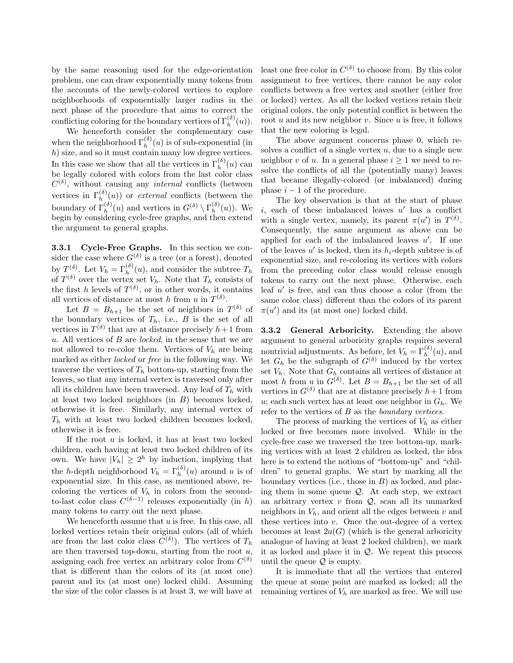by the same reasoning used for the edge-orientation problem, one can draw exponentially many tokens from the accounts of the newly-colored vertices to explore neighborhoods of exponentially larger radius in the next phase of the procedure that aims to correct the conflicting coloring for the boundary vertices of  $\Gamma_h^{(\delta)}(u)$ .

We henceforth consider the complementary case when the neighborhood  $\Gamma_h^{(\delta)}(u)$  is of sub-exponential (in h) size, and so it must contain many low degree vertices. In this case we show that all the vertices in  $\Gamma_h^{(\delta)}(u)$  can be legally colored with colors from the last color class  $C^{(\delta)}$ , without causing any *internal* conflicts (between vertices in  $\Gamma_h^{(\delta)}(u)$  or *external* conflicts (between the boundary of  $\Gamma_h^{(\delta)}(u)$  and vertices in  $G^{(\delta)} \setminus \Gamma_h^{(\delta)}$  $h^{(0)}(u)$ ). We begin by considering cycle-free graphs, and then extend the argument to general graphs.

3.3.1 Cycle-Free Graphs. In this section we consider the case where  $G^{(\delta)}$  is a tree (or a forest), denoted by  $T^{(\delta)}_{\infty}$ . Let  $V_h = \Gamma_h^{(\delta)}(u)$ , and consider the subtree  $T_h$ of  $T^{(\delta)}$  over the vertex set  $V_h$ . Note that  $T_h$  consists of the first h levels of  $T^{(\delta)}$ , or in other words, it contains all vertices of distance at most h from u in  $T^{(\delta)}$ .

Let  $B = B_{h+1}$  be the set of neighbors in  $T^{(\delta)}$  of the boundary vertices of  $T_h$ , i.e.,  $B$  is the set of all vertices in  $T^{(\delta)}$  that are at distance precisely  $h+1$  from u. All vertices of  $B$  are *locked*, in the sense that we are not allowed to re-color them. Vertices of  $V_h$  are being marked as either locked or free in the following way. We traverse the vertices of  $T_h$  bottom-up, starting from the leaves, so that any internal vertex is traversed only after all its children have been traversed. Any leaf of  $T_h$  with at least two locked neighbors (in B) becomes locked, otherwise it is free. Similarly, any internal vertex of  $T_h$  with at least two locked children becomes locked, otherwise it is free.

If the root  $u$  is locked, it has at least two locked children, each having at least two locked children of its own. We have  $|V_h| \geq 2^h$  by induction, implying that the *h*-depth neighborhood  $V_h = \Gamma_h^{(\delta)}(u)$  around u is of exponential size. In this case, as mentioned above, recoloring the vertices of  $V_h$  in colors from the secondto-last color class  $C^{(\delta-1)}$  releases exponentially (in h) many tokens to carry out the next phase.

We henceforth assume that  $u$  is free. In this case, all locked vertices retain their original colors (all of which are from the last color class  $C^{(\delta)}$ ). The vertices of  $T_h$ are then traversed top-down, starting from the root  $u$ , assigning each free vertex an arbitrary color from  $C^{(\delta)}$ that is different than the colors of its (at most one) parent and its (at most one) locked child. Assuming the size of the color classes is at least 3, we will have at

least one free color in  $C^{(\delta)}$  to choose from. By this color assignment to free vertices, there cannot be any color conflicts between a free vertex and another (either free or locked) vertex. As all the locked vertices retain their original colors, the only potential conflict is between the root  $u$  and its new neighbor  $v$ . Since  $u$  is free, it follows that the new coloring is legal.

The above argument concerns phase 0, which resolves a conflict of a single vertex  $u$ , due to a single new neighbor v of u. In a general phase  $i \geq 1$  we need to resolve the conflicts of all the (potentially many) leaves that became illegally-colored (or imbalanced) during phase  $i - 1$  of the procedure.

The key observation is that at the start of phase  $i$ , each of these imbalanced leaves  $u'$  has a conflict with a single vertex, namely, its parent  $\pi(u')$  in  $T^{(\delta)}$ . Consequently, the same argument as above can be applied for each of the imbalanced leaves  $u'$ . If one of the leaves  $u'$  is locked, then its  $h_i$ -depth subtree is of exponential size, and re-coloring its vertices with colors from the preceding color class would release enough tokens to carry out the next phase. Otherwise, each leaf  $u'$  is free, and can thus choose a color (from the same color class) different than the colors of its parent  $\pi(u')$  and its (at most one) locked child.

3.3.2 General Arboricity. Extending the above argument to general arboricity graphs requires several nontrivial adjustments. As before, let  $V_h = \Gamma_h^{(\delta)}(u)$ , and let  $G_h$  be the subgraph of  $G^{(\delta)}$  induced by the vertex set  $V_h$ . Note that  $G_h$  contains all vertices of distance at most h from u in  $G^{(\delta)}$ . Let  $B = B_{h+1}$  be the set of all vertices in  $G^{(\delta)}$  that are at distance precisely  $h+1$  from u; each such vertex has at least one neighbor in  $G_h$ . We refer to the vertices of  $B$  as the *boundary vertices*.

The process of marking the vertices of  $V_h$  as either locked or free becomes more involved. While in the cycle-free case we traversed the tree bottom-up, marking vertices with at least 2 children as locked, the idea here is to extend the notions of "bottom-up" and "children" to general graphs. We start by marking all the boundary vertices (i.e., those in  $B$ ) as locked, and placing them in some queue  $Q$ . At each step, we extract an arbitrary vertex  $v$  from  $Q$ , scan all its unmarked neighbors in  $V_h$ , and orient all the edges between v and these vertices into  $v$ . Once the out-degree of a vertex becomes at least  $2a(G)$  (which is the general arboricity analogue of having at least 2 locked children), we mark it as locked and place it in Q. We repeat this process until the queue  $\mathcal Q$  is empty.

It is immediate that all the vertices that entered the queue at some point are marked as locked; all the remaining vertices of  $V_h$  are marked as free. We will use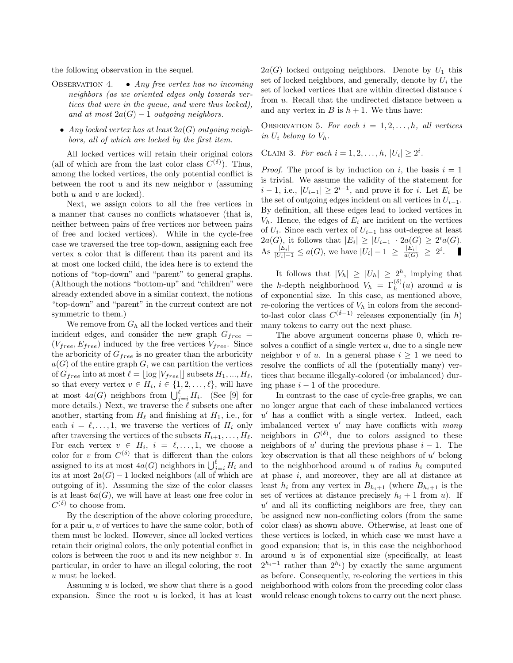the following observation in the sequel.

- OBSERVATION 4.  $\bullet$  *Any free vertex has no incoming* neighbors (as we oriented edges only towards vertices that were in the queue, and were thus locked), and at most  $2a(G) - 1$  outgoing neighbors.
	- Any locked vertex has at least  $2a(G)$  outgoing neighbors, all of which are locked by the first item.

All locked vertices will retain their original colors (all of which are from the last color class  $C^{(\delta)}$ ). Thus, among the locked vertices, the only potential conflict is between the root  $u$  and its new neighbor  $v$  (assuming both  $u$  and  $v$  are locked).

Next, we assign colors to all the free vertices in a manner that causes no conflicts whatsoever (that is, neither between pairs of free vertices nor between pairs of free and locked vertices). While in the cycle-free case we traversed the tree top-down, assigning each free vertex a color that is different than its parent and its at most one locked child, the idea here is to extend the notions of "top-down" and "parent" to general graphs. (Although the notions "bottom-up" and "children" were already extended above in a similar context, the notions "top-down" and "parent" in the current context are not symmetric to them.)

We remove from  $G_h$  all the locked vertices and their incident edges, and consider the new graph  $G_{free}$  =  $(V_{free}, E_{free})$  induced by the free vertices  $V_{free}$ . Since the arboricity of  $G_{free}$  is no greater than the arboricity  $a(G)$  of the entire graph G, we can partition the vertices of  $G_{free}$  into at most  $\ell = |\log |V_{free}||$  subsets  $H_1, ..., H_\ell$ , so that every vertex  $v \in H_i$ ,  $i \in \{1, 2, \ldots, \ell\}$ , will have at most  $4a(G)$  neighbors from  $\bigcup_{j=i}^{\ell} H_i$ . (See [9] for more details.) Next, we traverse the  $\ell$  subsets one after another, starting from  $H_\ell$  and finishing at  $H_1$ , i.e., for each  $i = \ell, \ldots, 1$ , we traverse the vertices of  $H_i$  only after traversing the vertices of the subsets  $H_{i+1}, \ldots, H_{\ell}$ . For each vertex  $v \in H_i$ ,  $i = \ell, ..., 1$ , we choose a color for v from  $C^{(\delta)}$  that is different than the colors assigned to its at most  $4a(G)$  neighbors in  $\bigcup_{j=i}^{\ell} H_i$  and its at most  $2a(G) - 1$  locked neighbors (all of which are outgoing of it). Assuming the size of the color classes is at least  $6a(G)$ , we will have at least one free color in  $C^{(\delta)}$  to choose from.

By the description of the above coloring procedure, for a pair  $u, v$  of vertices to have the same color, both of them must be locked. However, since all locked vertices retain their original colors, the only potential conflict in colors is between the root  $u$  and its new neighbor  $v$ . In particular, in order to have an illegal coloring, the root u must be locked.

Assuming  $u$  is locked, we show that there is a good expansion. Since the root  $u$  is locked, it has at least  $2a(G)$  locked outgoing neighbors. Denote by  $U_1$  this set of locked neighbors, and generally, denote by  $U_i$  the set of locked vertices that are within directed distance is from  $u$ . Recall that the undirected distance between  $u$ and any vertex in B is  $h + 1$ . We thus have:

OBSERVATION 5. For each  $i = 1, 2, ..., h$ , all vertices in  $U_i$  belong to  $V_h$ .

CLAIM 3. For each  $i = 1, 2, ..., h, |U_i| \geq 2^i$ .

*Proof.* The proof is by induction on i, the basis  $i = 1$ is trivial. We assume the validity of the statement for  $i-1$ , i.e.,  $|U_{i-1}| \geq 2^{i-1}$ , and prove it for i. Let  $E_i$  be the set of outgoing edges incident on all vertices in  $U_{i-1}$ . By definition, all these edges lead to locked vertices in  $V_h$ . Hence, the edges of  $E_i$  are incident on the vertices of  $U_i$ . Since each vertex of  $U_{i-1}$  has out-degree at least  $2a(G)$ , it follows that  $|E_i| \geq |U_{i-1}| \cdot 2a(G) \geq 2^i a(G)$ . As  $\frac{|E_i|}{|U_i|-1} \le a(G)$ , we have  $|U_i|-1 \ge \frac{|E_i|}{a(G)} \ge 2^i$ .

It follows that  $|V_h| \geq |U_h| \geq 2^h$ , implying that the *h*-depth neighborhood  $V_h = \Gamma_h^{(\delta)}(u)$  around u is of exponential size. In this case, as mentioned above, re-coloring the vertices of  $V_h$  in colors from the secondto-last color class  $C^{(\delta-1)}$  releases exponentially (in h) many tokens to carry out the next phase.

The above argument concerns phase 0, which resolves a conflict of a single vertex  $u$ , due to a single new neighbor v of u. In a general phase  $i \geq 1$  we need to resolve the conflicts of all the (potentially many) vertices that became illegally-colored (or imbalanced) during phase  $i - 1$  of the procedure.

In contrast to the case of cycle-free graphs, we can no longer argue that each of these imbalanced vertices  $u'$  has a conflict with a single vertex. Indeed, each imbalanced vertex  $u'$  may have conflicts with many neighbors in  $G^{(\delta)}$ , due to colors assigned to these neighbors of  $u'$  during the previous phase  $i - 1$ . The key observation is that all these neighbors of  $u'$  belong to the neighborhood around u of radius  $h_i$  computed at phase  $i$ , and moreover, they are all at distance at least  $h_i$  from any vertex in  $B_{h_i+1}$  (where  $B_{h_i+1}$  is the set of vertices at distance precisely  $h_i + 1$  from u). If  $u'$  and all its conflicting neighbors are free, they can be assigned new non-conflicting colors (from the same color class) as shown above. Otherwise, at least one of these vertices is locked, in which case we must have a good expansion; that is, in this case the neighborhood around  $u$  is of exponential size (specifically, at least  $2^{h_i-1}$  rather than  $2^{h_i}$  by exactly the same argument as before. Consequently, re-coloring the vertices in this neighborhood with colors from the preceding color class would release enough tokens to carry out the next phase.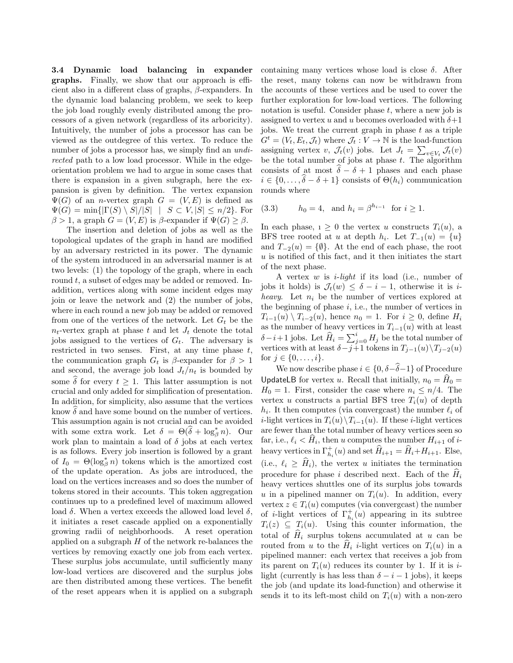3.4 Dynamic load balancing in expander graphs. Finally, we show that our approach is efficient also in a different class of graphs, β-expanders. In the dynamic load balancing problem, we seek to keep the job load roughly evenly distributed among the processors of a given network (regardless of its arboricity). Intuitively, the number of jobs a processor has can be viewed as the outdegree of this vertex. To reduce the number of jobs a processor has, we simply find an *undi*rected path to a low load processor. While in the edgeorientation problem we had to argue in some cases that there is expansion in a given subgraph, here the expansion is given by definition. The vertex expansion  $\Psi(G)$  of an *n*-vertex graph  $G = (V, E)$  is defined as  $\Psi(G) = \min\{|\Gamma(S) \setminus S|/|S| \mid S \subset V, |S| \leq n/2\}.$  For  $\beta > 1$ , a graph  $G = (V, E)$  is  $\beta$ -expander if  $\Psi(G) \geq \beta$ .

The insertion and deletion of jobs as well as the topological updates of the graph in hand are modified by an adversary restricted in its power. The dynamic of the system introduced in an adversarial manner is at two levels: (1) the topology of the graph, where in each round  $t$ , a subset of edges may be added or removed. Inaddition, vertices along with some incident edges may join or leave the network and (2) the number of jobs, where in each round a new job may be added or removed from one of the vertices of the network. Let  $G_t$  be the  $n_t$ -vertex graph at phase t and let  $J_t$  denote the total jobs assigned to the vertices of  $G_t$ . The adversary is restricted in two senses. First, at any time phase  $t$ , the communication graph  $G_t$  is β-expander for  $\beta > 1$ and second, the average job load  $J_t/n_t$  is bounded by some  $\delta$  for every  $t \geq 1$ . This latter assumption is not crucial and only added for simplification of presentation. In addition, for simplicity, also assume that the vertices know  $\delta$  and have some bound on the number of vertices. This assumption again is not crucial and can be avoided with some extra work. Let  $\delta = \Theta(\hat{\delta} + \log_{\beta}^{*} n)$ . Our work plan to maintain a load of  $\delta$  jobs at each vertex is as follows. Every job insertion is followed by a grant of  $I_0 = \Theta(\log_{\beta}^* n)$  tokens which is the amortized cost of the update operation. As jobs are introduced, the load on the vertices increases and so does the number of tokens stored in their accounts. This token aggregation continues up to a predefined level of maximum allowed load δ. When a vertex exceeds the allowed load level δ, it initiates a reset cascade applied on a exponentially growing radii of neighborhoods. A reset operation applied on a subgraph  $H$  of the network re-balances the vertices by removing exactly one job from each vertex. These surplus jobs accumulate, until sufficiently many low-load vertices are discovered and the surplus jobs are then distributed among these vertices. The benefit of the reset appears when it is applied on a subgraph

containing many vertices whose load is close  $\delta$ . After the reset, many tokens can now be withdrawn from the accounts of these vertices and be used to cover the further exploration for low-load vertices. The following notation is useful. Consider phase  $t$ , where a new job is assigned to vertex u and u becomes overloaded with  $\delta + 1$ jobs. We treat the current graph in phase  $t$  as a triple  $G^t = (V_t, E_t, \mathcal{J}_t)$  where  $\mathcal{J}_t : V \to \mathbb{N}$  is the load-function assigning vertex v,  $\mathcal{J}_t(v)$  jobs. Let  $J_t = \sum_{v \in V_t} \mathcal{J}_t(v)$ be the total number of jobs at phase  $t$ . The algorithm consists of at most  $\delta - \delta + 1$  phases and each phase  $i \in \{0, \ldots, \widehat{\delta} - \delta + 1\}$  consists of  $\Theta(h_i)$  communication rounds where

(3.3) 
$$
h_0 = 4
$$
, and  $h_i = \beta^{h_{i-1}}$  for  $i \ge 1$ .

In each phase,  $1 \geq 0$  the vertex u constructs  $T_i(u)$ , a BFS tree rooted at u at depth  $h_i$ . Let  $T_{-1}(u) = \{u\}$ and  $T_{-2}(u) = \{\emptyset\}$ . At the end of each phase, the root  $u$  is notified of this fact, and it then initiates the start of the next phase.

A vertex  $w$  is  $i$ -light if its load (i.e., number of jobs it holds) is  $\mathcal{J}_t(w) \leq \delta - i - 1$ , otherwise it is *i*heavy. Let  $n_i$  be the number of vertices explored at the beginning of phase  $i$ , i.e., the number of vertices in  $T_{i-1}(u) \setminus T_{i-2}(u)$ , hence  $n_0 = 1$ . For  $i \geq 0$ , define  $H_i$ as the number of heavy vertices in  $T_{i-1}(u)$  with at least  $\delta - i + 1$  jobs. Let  $\widehat{H}_i = \sum_{j=0}^i H_j$  be the total number of vertices with at least  $\delta - j + 1$  tokens in  $T_{j-1}(u)\backslash T_{j-2}(u)$ for  $j \in \{0, ..., i\}$ .

We now describe phase  $i \in \{0, \delta-\hat{\delta}-1\}$  of Procedure UpdateLB for vertex u. Recall that initially,  $n_0 = \hat{H}_0 =$  $H_0 = 1$ . First, consider the case where  $n_i \leq n/4$ . The vertex u constructs a partial BFS tree  $T_i(u)$  of depth  $h_i$ . It then computes (via convergcast) the number  $\ell_i$  of i-light vertices in  $T_i(u)\setminus T_{i-1}(u)$ . If these i-light vertices are fewer than the total number of heavy vertices seen so far, i.e.,  $\ell_i < H_i$ , then u computes the number  $H_{i+1}$  of  $i$ heavy vertices in  $\Gamma_{h_i}^+(u)$  and set  $\widehat{H}_{i+1} = \widehat{H}_i + H_{i+1}$ . Else, (i.e.,  $\ell_i \geq \widehat{H}_i$ ), the vertex u initiates the termination procedure for phase i described next. Each of the  $H_i$ heavy vertices shuttles one of its surplus jobs towards u in a pipelined manner on  $T_i(u)$ . In addition, every vertex  $z \in T_i(u)$  computes (via convergcast) the number of *i*-light vertices of  $\Gamma_{h_i}^+(u)$  appearing in its subtree  $T_i(z) \subseteq T_i(u)$ . Using this counter information, the total of  $\hat{H}_i$  surplus tokens accumulated at u can be routed from u to the  $H_i$  i-light vertices on  $T_i(u)$  in a pipelined manner: each vertex that receives a job from its parent on  $T_i(u)$  reduces its counter by 1. If it is *i*light (currently is has less than  $\delta - i - 1$  jobs), it keeps the job (and update its load-function) and otherwise it sends it to its left-most child on  $T_i(u)$  with a non-zero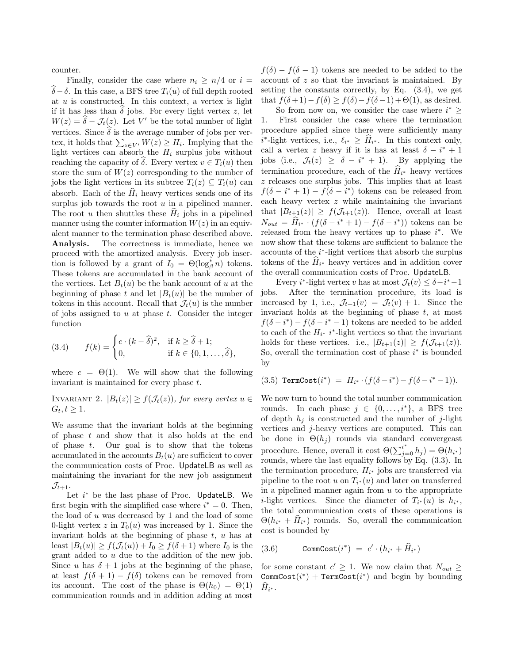counter.

Finally, consider the case where  $n_i \geq n/4$  or  $i =$  $δ-δ$ . In this case, a BFS tree  $T_i(u)$  of full depth rooted at  $u$  is constructed. In this context, a vertex is light if it has less than  $\hat{\delta}$  jobs. For every light vertex z, let  $W(z) = \hat{\delta} - \mathcal{J}_t(z)$ . Let V' be the total number of light vertices. Since  $\hat{\delta}$  is the average number of jobs per vertex, it holds that  $\sum_{z \in V'} W(z) \geq H_i$ . Implying that the light vertices can absorb the  $H_i$  surplus jobs without reaching the capacity of  $\delta$ . Every vertex  $v \in T_i(u)$  then store the sum of  $W(z)$  corresponding to the number of jobs the light vertices in its subtree  $T_i(z) \subseteq T_i(u)$  can absorb. Each of the  $\hat{H}_i$  heavy vertices sends one of its surplus job towards the root  $u$  in a pipelined manner. The root u then shuttles these  $\hat{H}_i$  jobs in a pipelined manner using the counter information  $W(z)$  in an equivalent manner to the termination phase described above. Analysis. The correctness is immediate, hence we proceed with the amortized analysis. Every job insertion is followed by a grant of  $I_0 = \Theta(\log_{\beta}^* n)$  tokens. These tokens are accumulated in the bank account of the vertices. Let  $B_t(u)$  be the bank account of u at the beginning of phase t and let  $|B_t(u)|$  be the number of tokens in this account. Recall that  $\mathcal{J}_t(u)$  is the number of jobs assigned to  $u$  at phase  $t$ . Consider the integer function

(3.4) 
$$
f(k) = \begin{cases} c \cdot (k - \widehat{\delta})^2, & \text{if } k \ge \widehat{\delta} + 1; \\ 0, & \text{if } k \in \{0, 1, \dots, \widehat{\delta}\}, \end{cases}
$$

where  $c = \Theta(1)$ . We will show that the following invariant is maintained for every phase t.

INVARIANT 2.  $|B_t(z)| \ge f(\mathcal{J}_t(z))$ , for every vertex  $u \in$  $G_t, t \geq 1$ .

We assume that the invariant holds at the beginning of phase t and show that it also holds at the end of phase  $t$ . Our goal is to show that the tokens accumulated in the accounts  $B_t(u)$  are sufficient to cover the communication costs of Proc. UpdateLB as well as maintaining the invariant for the new job assignment  $\mathcal{J}_{t+1}$ .

Let  $i^*$  be the last phase of Proc. UpdateLB. We first begin with the simplified case where  $i^* = 0$ . Then, the load of  $u$  was decreased by 1 and the load of some 0-light vertex z in  $T_0(u)$  was increased by 1. Since the invariant holds at the beginning of phase  $t, u$  has at least  $|B_t(u)| \ge f(\mathcal{J}_t(u)) + I_0 \ge f(\delta+1)$  where  $I_0$  is the grant added to u due to the addition of the new job. Since u has  $\delta + 1$  jobs at the beginning of the phase, at least  $f(\delta + 1) - f(\delta)$  tokens can be removed from its account. The cost of the phase is  $\Theta(h_0) = \Theta(1)$ communication rounds and in addition adding at most

 $f(\delta) - f(\delta - 1)$  tokens are needed to be added to the account of z so that the invariant is maintained. By setting the constants correctly, by Eq.  $(3.4)$ , we get that  $f(\delta+1)-f(\delta) \geq f(\delta)-f(\delta-1)+\Theta(1)$ , as desired.

So from now on, we consider the case where  $i^* \geq$ 1. First consider the case where the termination procedure applied since there were sufficiently many  $i^*$ -light vertices, i.e.,  $\ell_{i^*} \geq \widehat{H}_{i^*}$ . In this context only, call a vertex z heavy if it is has at least  $\delta - i^* + 1$ jobs (i.e.,  $\mathcal{J}_t(z) \geq \delta - i^* + 1$ ). By applying the termination procedure, each of the  $H_{i^*}$  heavy vertices z releases one surplus jobs. This implies that at least  $f(\delta - i^* + 1) - f(\delta - i^*)$  tokens can be released from each heavy vertex z while maintaining the invariant that  $|B_{t+1}(z)| \geq f(\mathcal{J}_{t+1}(z))$ . Hence, overall at least  $N_{out} = \hat{H}_{i^*} \cdot (f(\delta - i^* + 1) - f(\delta - i^*))$  tokens can be released from the heavy vertices up to phase  $i^*$ . We now show that these tokens are sufficient to balance the accounts of the i ∗ -light vertices that absorb the surplus tokens of the  $H_{i^*}$  heavy vertices and in addition cover the overall communication costs of Proc. UpdateLB.

Every *i*<sup>\*</sup>-light vertex *v* has at most  $\mathcal{J}_t(v) \leq \delta - i^* - 1$ jobs. After the termination procedure, its load is increased by 1, i.e.,  $\mathcal{J}_{t+1}(v) = \mathcal{J}_t(v) + 1$ . Since the invariant holds at the beginning of phase  $t$ , at most  $f(\delta - i^*) - f(\delta - i^* - 1)$  tokens are needed to be added to each of the  $H_{i^*}$  *i*<sup>\*</sup>-light vertices so that the invariant holds for these vertices. i.e.,  $|B_{t+1}(z)| \geq f(\mathcal{J}_{t+1}(z)).$ So, overall the termination cost of phase  $i^*$  is bounded by

(3.5) TermCost(
$$
i^*
$$
) =  $H_{i^*} \cdot (f(\delta - i^*) - f(\delta - i^* - 1)).$ 

We now turn to bound the total number communication rounds. In each phase  $j \in \{0, \ldots, i^*\}$ , a BFS tree of depth  $h_j$  is constructed and the number of j-light vertices and j-heavy vertices are computed. This can be done in  $\Theta(h_i)$  rounds via standard convergents procedure. Hence, overall it cost  $\Theta(\sum_{j=0}^{i^*} h_j) = \Theta(h_{i^*})$ rounds, where the last equality follows by Eq. (3.3). In the termination procedure,  $H_{i^*}$  jobs are transferred via pipeline to the root u on  $T_{i^*}(u)$  and later on transferred in a pipelined manner again from  $u$  to the appropriate *i*-light vertices. Since the diameter of  $T_{i^*}(u)$  is  $h_{i^*}$ , the total communication costs of these operations is  $\Theta(h_{i^*} + H_{i^*})$  rounds. So, overall the communication cost is bounded by

$$
(3.6) \qquad \qquad \texttt{CommCost}(i^*) = c' \cdot (h_{i^*} + \widehat{H}_{i^*})
$$

for some constant  $c' \geq 1$ . We now claim that  $N_{out} \geq$ CommCost $(i^*)$  + TermCost $(i^*)$  and begin by bounding  $H_{i^*}$ .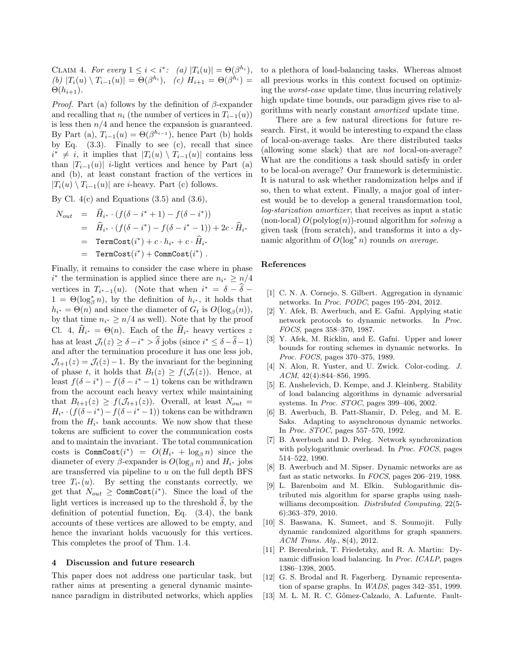CLAIM 4. For every  $1 \leq i < i^*$ : (a)  $|T_i(u)| = \Theta(\beta^{h_i}),$ (b)  $|T_i(u) \setminus T_{i-1}(u)| = \Theta(\beta^{h_i}), \quad (c) H_{i+1} = \Theta(\beta^{h_i}) =$  $\Theta(h_{i+1}).$ 

*Proof.* Part (a) follows by the definition of  $\beta$ -expander and recalling that  $n_i$  (the number of vertices in  $T_{i-1}(u)$ ) is less then  $n/4$  and hence the expansion is guaranteed. By Part (a),  $T_{i-1}(u) = \Theta(\beta^{h_{i-1}})$ , hence Part (b) holds by Eq.  $(3.3)$ . Finally to see  $(c)$ , recall that since  $i^* \neq i$ , it implies that  $|T_i(u) \setminus T_{i-1}(u)|$  contains less than  $|T_{i-1}(u)|$  *i*-light vertices and hence by Part (a) and (b), at least constant fraction of the vertices in  $|T_i(u) \setminus T_{i-1}(u)|$  are *i*-heavy. Part (c) follows.

By Cl.  $4(c)$  and Equations  $(3.5)$  and  $(3.6)$ ,

$$
N_{out} = \hat{H}_{i^*} \cdot (f(\delta - i^* + 1) - f(\delta - i^*))
$$
  
=  $\hat{H}_{i^*} \cdot (f(\delta - i^*) - f(\delta - i^* - 1)) + 2c \cdot \hat{H}_{i^*}$   
= TermCost( $i^*$ ) +  $c \cdot h_{i^*} + c \cdot \hat{H}_{i^*}$   
= TermCost( $i^*$ ) + CommCost( $i^*$ ) .

Finally, it remains to consider the case where in phase  $i^*$  the termination is applied since there are  $n_{i^*} \geq n/4$ vertices in  $T_{i^*-1}(u)$ . (Note that when  $i^* = \delta - \hat{\delta}$ )  $1 = \Theta(\log_{\beta}^{*} n)$ , by the definition of  $h_{i^{*}}$ , it holds that  $h_{i^*} = \Theta(n)$  and since the diameter of  $G_t$  is  $O(\log_\beta(n)),$ by that time  $n_{i^*} \geq n/4$  as well). Note that by the proof Cl. 4,  $H_{i^*} = \Theta(n)$ . Each of the  $H_{i^*}$  heavy vertices z has at least  $\mathcal{J}_t(z) \geq \delta - i^* > \hat{\delta}$  jobs (since  $i^* \leq \delta - \hat{\delta} - 1$ ) and after the termination procedure it has one less job,  $\mathcal{J}_{t+1}(z) = \mathcal{J}_t(z) - 1$ . By the invariant for the beginning of phase t, it holds that  $B_t(z) \geq f(\mathcal{J}_t(z))$ . Hence, at least  $f(\delta - i^*) - f(\delta - i^* - 1)$  tokens can be withdrawn from the account each heavy vertex while maintaining that  $B_{t+1}(z) \geq f(\mathcal{J}_{t+1}(z))$ . Overall, at least  $N_{out}$  =  $H_{i^*} \cdot (f(\delta - i^*) - f(\delta - i^* - 1))$  tokens can be withdrawn from the  $H_{i^*}$  bank accounts. We now show that these tokens are sufficient to cover the communication costs and to maintain the invariant. The total communication costs is  $\texttt{CommCost}(i^*) = O(H_{i^*} + \log_\beta n)$  since the diameter of every  $\beta$ -expander is  $O(\log_{\beta} n)$  and  $H_{i^*}$  jobs are transferred via pipeline to  $u$  on the full depth BFS tree  $T_{i^*}(u)$ . By setting the constants correctly, we get that  $N_{out} \geq \text{CommCost}(i^*)$ . Since the load of the light vertices is increased up to the threshold  $\hat{\delta}$ , by the definition of potential function, Eq. (3.4), the bank accounts of these vertices are allowed to be empty, and hence the invariant holds vacuously for this vertices. This completes the proof of Thm. 1.4.

#### 4 Discussion and future research

This paper does not address one particular task, but rather aims at presenting a general dynamic maintenance paradigm in distributed networks, which applies to a plethora of load-balancing tasks. Whereas almost all previous works in this context focused on optimizing the worst-case update time, thus incurring relatively high update time bounds, our paradigm gives rise to algorithms with nearly constant amortized update time.

There are a few natural directions for future research. First, it would be interesting to expand the class of local-on-average tasks. Are there distributed tasks (allowing some slack) that are not local-on-average? What are the conditions a task should satisfy in order to be local-on average? Our framework is deterministic. It is natural to ask whether randomization helps and if so, then to what extent. Finally, a major goal of interest would be to develop a general transformation tool, log-starization amortizer, that receives as input a static (non-local)  $O(polylog(n))$ -round algorithm for solving a given task (from scratch), and transforms it into a dynamic algorithm of  $O(\log^* n)$  rounds on average.

#### References

- [1] C. N. A. Cornejo, S. Gilbert. Aggregation in dynamic networks. In Proc. PODC, pages 195–204, 2012.
- [2] Y. Afek, B. Awerbuch, and E. Gafni. Applying static network protocols to dynamic networks. In Proc. FOCS, pages 358–370, 1987.
- [3] Y. Afek, M. Ricklin, and E. Gafni. Upper and lower bounds for routing schemes in dynamic networks. In Proc. FOCS, pages 370–375, 1989.
- [4] N. Alon, R. Yuster, and U. Zwick. Color-coding. J. ACM, 42(4):844–856, 1995.
- [5] E. Anshelevich, D. Kempe, and J. Kleinberg. Stability of load balancing algorithms in dynamic adversarial systems. In Proc. STOC, pages 399–406, 2002.
- [6] B. Awerbuch, B. Patt-Shamir, D. Peleg, and M. E. Saks. Adapting to asynchronous dynamic networks. In Proc. STOC, pages 557–570, 1992.
- [7] B. Awerbuch and D. Peleg. Network synchronization with polylogarithmic overhead. In *Proc. FOCS*, pages 514–522, 1990.
- [8] B. Awerbuch and M. Sipser. Dynamic networks are as fast as static networks. In FOCS, pages 206–219, 1988.
- [9] L. Barenboim and M. Elkin. Sublogarithmic distributed mis algorithm for sparse graphs using nashwilliams decomposition. Distributed Computing, 22(5-6):363–379, 2010.
- [10] S. Baswana, K. Sumeet, and S. Soumojit. Fully dynamic randomized algorithms for graph spanners. ACM Trans. Alg., 8(4), 2012.
- [11] P. Berenbrink, T. Friedetzky, and R. A. Martin: Dynamic diffusion load balancing. In Proc. ICALP, pages 1386–1398, 2005.
- [12] G. S. Brodal and R. Fagerberg. Dynamic representation of sparse graphs. In WADS, pages 342–351, 1999.
- [13] M. L. M. R. C. Gőmez-Calzado, A. Lafuente. Fault-